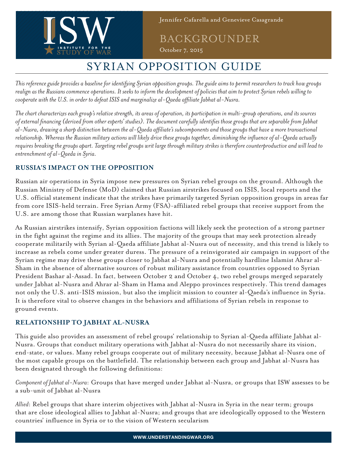

BACKGROUNDER

October 7, 2015

## SYRIAN OPPOSITION GUIDE

*This reference guide provides a baseline for identifying Syrian opposition groups. The guide aims to permit researchers to track how groups realign as the Russians commence operations. It seeks to inform the development of policies that aim to protect Syrian rebels willing to cooperate with the U.S. in order to defeat ISIS and marginalize al-Qaeda affiliate Jabhat al-Nusra.*

*The chart characterizes each group's relative strength, its areas of operation, its participation in multi-group operations, and its sources of external financing (derived from other experts' studies). The document carefully identifies those groups that are separable from Jabhat al-Nusra, drawing a sharp distinction between the al-Qaeda affiliate's subcomponents and those groups that have a more transactional relationship. Whereas the Russian military actions will likely drive these groups together, diminishing the influence of al-Qaeda actually requires breaking the groups apart. Targeting rebel groups writ large through military strikes is therefore counterproductive and will lead to entrenchment of al-Qaeda in Syria.* 

## **RUSSIA'S IMPACT ON THE OPPOSITION**

Russian air operations in Syria impose new pressures on Syrian rebel groups on the ground. Although the Russian Ministry of Defense (MoD) claimed that Russian airstrikes focused on ISIS, local reports and the U.S. official statement indicate that the strikes have primarily targeted Syrian opposition groups in areas far from core ISIS-held terrain. Free Syrian Army (FSA)-affiliated rebel groups that receive support from the U.S. are among those that Russian warplanes have hit.

As Russian airstrikes intensify, Syrian opposition factions will likely seek the protection of a strong partner in the fight against the regime and its allies. The majority of the groups that may seek protection already cooperate militarily with Syrian al-Qaeda affiliate Jabhat al-Nusra out of necessity, and this trend is likely to increase as rebels come under greater duress. The pressure of a reinvigorated air campaign in support of the Syrian regime may drive these groups closer to Jabhat al-Nusra and potentially hardline Islamist Ahrar al-Sham in the absence of alternative sources of robust military assistance from countries opposed to Syrian President Bashar al-Assad. In fact, between October 2 and October 4, two rebel groups merged separately under Jabhat al-Nusra and Ahrar al-Sham in Hama and Aleppo provinces respectively. This trend damages not only the U.S. anti-ISIS mission, but also the implicit mission to counter al-Qaeda's influence in Syria. It is therefore vital to observe changes in the behaviors and affiliations of Syrian rebels in response to ground events.

### **RELATIONSHIP TO JABHAT AL-NUSRA**

This guide also provides an assessment of rebel groups' relationship to Syrian al-Qaeda affiliate Jabhat al-Nusra. Groups that conduct military operations with Jabhat al-Nusra do not necessarily share its vision, end-state, or values. Many rebel groups cooperate out of military necessity, because Jabhat al-Nusra one of the most capable groups on the battlefield. The relationship between each group and Jabhat al-Nusra has been designated through the following definitions:

*Component of Jabhat al-Nusra*: Groups that have merged under Jabhat al-Nusra, or groups that ISW assesses to be a sub-unit of Jabhat al-Nusra

*Allied*: Rebel groups that share interim objectives with Jabhat al-Nusra in Syria in the near term; groups that are close ideological allies to Jabhat al-Nusra; and groups that are ideologically opposed to the Western countries' influence in Syria or to the vision of Western secularism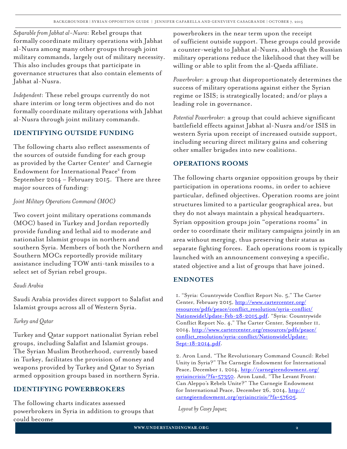*Separable from Jabhat al-Nusra*: Rebel groups that formally coordinate military operations with Jabhat al-Nusra among many other groups through joint military commands, largely out of military necessity. This also includes groups that participate in governance structures that also contain elements of Jabhat al-Nusra.

*Independent*: These rebel groups currently do not share interim or long term objectives and do not formally coordinate military operations with Jabhat al-Nusra through joint military commands.

### **IDENTIFYING OUTSIDE FUNDING**

The following charts also reflect assessments of the sources of outside funding for each group as provided by the Carter Center<sup>1</sup> and Carnegie Endowment for International Peace<sup>2</sup> from September 2014 – February 2015. There are three major sources of funding:

### *Joint Military Operations Command (MOC)*

Two covert joint military operations commands (MOC) based in Turkey and Jordan reportedly provide funding and lethal aid to moderate and nationalist Islamist groups in northern and southern Syria. Members of both the Northern and Southern MOCs reportedly provide military assistance including TOW anti-tank missiles to a select set of Syrian rebel groups.

#### *Saudi Arabia*

Saudi Arabia provides direct support to Salafist and Islamist groups across all of Western Syria.

### *Turkey and Qatar*

Turkey and Qatar support nationalist Syrian rebel groups, including Salafist and Islamist groups. The Syrian Muslim Brotherhood, currently based in Turkey, facilitates the provision of money and weapons provided by Turkey and Qatar to Syrian armed opposition groups based in northern Syria.

### **IDENTIFYING POWERBROKERS**

The following charts indicates assessed powerbrokers in Syria in addition to groups that could become

powerbrokers in the near term upon the receipt of sufficient outside support. These groups could provide a counter-weight to Jabhat al-Nusra, although the Russian military operations reduce the likelihood that they will be willing or able to split from the al-Qaeda affiliate.

*Powerbroker*: a group that disproportionately determines the success of military operations against either the Syrian regime or ISIS; is strategically located; and/or plays a leading role in governance.

*Potential Powerbroker*: a group that could achieve significant battlefield effects against Jabhat al-Nusra and/or ISIS in western Syria upon receipt of increased outside support, including securing direct military gains and cohering other smaller brigades into new coalitions.

### **OPERATIONS ROOMS**

The following charts organize opposition groups by their participation in operations rooms, in order to achieve particular, defined objectives. Operation rooms are joint structures limited to a particular geographical area, but they do not always maintain a physical headquarters. Syrian opposition groups join "operations rooms" in order to coordinate their military campaigns jointly in an area without merging, thus preserving their status as separate fighting forces. Each operations room is typically launched with an announcement conveying a specific, stated objective and a list of groups that have joined.

### **ENDNOTES**

1. "Syria: Countrywide Conflict Report No. 5," The Carter Center, February 2015, http://www.cartercenter.org/ resources/pdfs/peace/conflict\_resolution/syria-conflict/ NationwideUpdate-Feb-28-2015.pdf. "Syria: Countrywide Conflict Report No. 4," The Carter Center, September 11, 2014, http://www.cartercenter.org/resources/pdfs/peace/ conflict\_resolution/syria-conflict/NationwideUpdate-Sept-18-2014.pdf.

2. Aron Lund, "The Revolutionary Command Council: Rebel Unity in Syria?" The Carnegie Endowment for International Peace, December I, 2014, http://carnegieendowment.org/ syriaincrisis/?fa=57350. Aron Lund, "The Levant Front: Can Aleppo's Rebels Unite?" The Carnegie Endowment for International Peace, December 26, 2014, http:// carnegieendowment.org/syriaincrisis/?fa=57605.

*Layout by Casey Jaquez*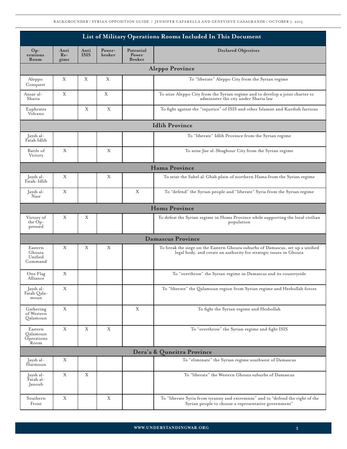BACKGROUNDER | SYRIAN OPPOSITION GUIDE | JENNIFER CAFARELLA AND GENEVIEVE CASAGRANDE | OCTOBER 7, 2015

|                                           | List of Military Operations Rooms Included In This Document |                     |                  |                                     |                                                                                                                                                      |  |  |  |  |  |
|-------------------------------------------|-------------------------------------------------------------|---------------------|------------------|-------------------------------------|------------------------------------------------------------------------------------------------------------------------------------------------------|--|--|--|--|--|
| Op-<br>erations<br>Room                   | Anti<br>$Re-$<br>gime                                       | Anti<br><b>ISIS</b> | Power-<br>broker | Potential<br>Power<br><b>Broker</b> | <b>Declared Objectives</b>                                                                                                                           |  |  |  |  |  |
| <b>Aleppo Province</b>                    |                                                             |                     |                  |                                     |                                                                                                                                                      |  |  |  |  |  |
| Aleppo<br>Conquest                        | Χ                                                           | Χ                   | Χ                |                                     | To "liberate" Aleppo City from the Syrian regime                                                                                                     |  |  |  |  |  |
| Ansar al-<br>Sharia                       | X                                                           |                     | X                |                                     | To seize Aleppo City from the Syrian regime and to develop a joint charter to<br>administer the city under Sharia law                                |  |  |  |  |  |
| Euphrates<br>Volcano                      |                                                             | X                   | X                |                                     | To fight against the "injustice" of ISIS and other Islamist and Kurdish factions                                                                     |  |  |  |  |  |
| <b>Idlib Province</b>                     |                                                             |                     |                  |                                     |                                                                                                                                                      |  |  |  |  |  |
| Jaysh al-<br>Fatah Idlib                  |                                                             |                     |                  |                                     | To "liberate" Idlib Province from the Syrian regime                                                                                                  |  |  |  |  |  |
| Battle of<br>Victory                      | X                                                           |                     | X                |                                     | To seize Jisr al-Shughour City from the Syrian regime                                                                                                |  |  |  |  |  |
|                                           |                                                             |                     |                  |                                     | Hama Province                                                                                                                                        |  |  |  |  |  |
| Jaysh al-<br>Fatah-Idlib                  | X                                                           |                     | X                |                                     | To seize the Sahel al-Ghab plain of northern Hama from the Syrian regime                                                                             |  |  |  |  |  |
| Jaysh al-<br>Nasr                         | X                                                           |                     |                  | X                                   | To "defend" the Syrian people and "liberate" Syria from the Syrian regime                                                                            |  |  |  |  |  |
|                                           |                                                             |                     |                  |                                     | <b>Homs Province</b>                                                                                                                                 |  |  |  |  |  |
| Victory of<br>the Op-<br>pressed          | X                                                           | Χ                   |                  |                                     | To defeat the Syrian regime in Homs Province while supporting the local civilian<br>population                                                       |  |  |  |  |  |
|                                           |                                                             |                     |                  |                                     | <b>Damascus Province</b>                                                                                                                             |  |  |  |  |  |
| Eastern<br>Ghouta<br>Unified<br>Command   | X                                                           | Χ                   | X                |                                     | To break the siege on the Eastern Ghouta suburbs of Damascus, set up a unified<br>legal body, and create an authority for strategic issues in Ghouta |  |  |  |  |  |
| One Flag<br>Alliance                      | X                                                           |                     |                  |                                     | To "overthrow" the Syrian regime in Damascus and its countryside                                                                                     |  |  |  |  |  |
| Jaysh al-<br>Fatah Qala-<br>moun          | X                                                           |                     |                  |                                     | To "liberate" the Qalamoun region from Syrian regime and Hezbollah forces                                                                            |  |  |  |  |  |
| Gathering<br>of Western<br>Qalamoun       | Χ                                                           |                     |                  | X                                   | To fight the Syrian regime and Hezbollah                                                                                                             |  |  |  |  |  |
| Eastern<br>Oalamoun<br>Operations<br>Room | X                                                           | Χ                   | X                |                                     | To "overthrow" the Syrian regime and fight ISIS                                                                                                      |  |  |  |  |  |
|                                           |                                                             |                     |                  |                                     | Dera'a & Quneitra Province                                                                                                                           |  |  |  |  |  |
| Jaysh al-<br>Harmoun                      | Χ                                                           |                     |                  |                                     | To "eliminate" the Syrian regime southwest of Damascus                                                                                               |  |  |  |  |  |
| Jaysh al-<br>Fatah al-<br>Janoub          | $\mathbf X$                                                 | $\mathbf X$         |                  |                                     | To "liberate" the Western Ghouta suburbs of Damascus                                                                                                 |  |  |  |  |  |
| Southern<br>Front                         | X                                                           |                     | X                |                                     | To "liberate Syria from tyranny and extremism" and to "defend the right of the<br>Syrian people to choose a representative government"               |  |  |  |  |  |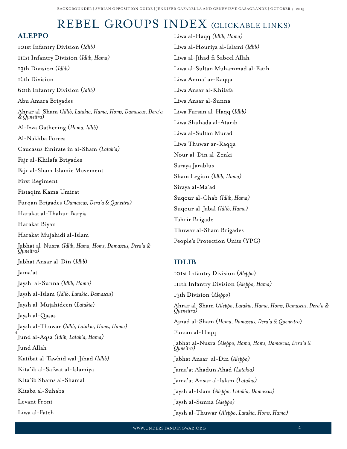# REBEL GROUPS INDEX (CLICKABLE LINKS)

| <b>ALEPPO</b>                                                              | Liwa al-Haqq (Idlib, Hama)                                                   |  |  |  |  |  |
|----------------------------------------------------------------------------|------------------------------------------------------------------------------|--|--|--|--|--|
| <b>IOIst Infantry Division (Idlib)</b>                                     | Liwa al-Houriya al-Islami (Idlib)                                            |  |  |  |  |  |
| IIIst Infantry Division (Idlib, Hama)                                      | Liwa al-Jihad fi Sabeel Allah                                                |  |  |  |  |  |
| 13th Division (Idlib)                                                      | Liwa al-Sultan Muhammad al-Fatih                                             |  |  |  |  |  |
| 16th Division                                                              | Liwa Amna' ar-Raqqa                                                          |  |  |  |  |  |
| 60th Infantry Division (Idlib)                                             | Liwa Ansar al-Khilafa                                                        |  |  |  |  |  |
| Abu Amara Brigades                                                         | Liwa Ansar al-Sunna                                                          |  |  |  |  |  |
| Ahrar al-Sham (Idlib, Latakia, Hama, Homs, Damascus, Dera'a<br>& Quneitra) | Liwa Fursan al-Haqq (Idlib)                                                  |  |  |  |  |  |
| Al-Izza Gathering (Hama, Idlib)                                            | Liwa Shuhada al-Atarib                                                       |  |  |  |  |  |
| Al-Nakhba Forces                                                           | Liwa al-Sultan Murad                                                         |  |  |  |  |  |
| Caucasus Emirate in al-Sham (Latakia)                                      | Liwa Thuwar ar-Raqqa                                                         |  |  |  |  |  |
| Fajr al-Khilafa Brigades                                                   | Nour al-Din al-Zenki                                                         |  |  |  |  |  |
| Fajr al-Sham Islamic Movement                                              | Saraya Jarablus                                                              |  |  |  |  |  |
| First Regiment                                                             | Sham Legion (Idlib, Hama)                                                    |  |  |  |  |  |
| Fistaqim Kama Umirat                                                       | Siraya al-Ma'ad                                                              |  |  |  |  |  |
| Furqan Brigades (Damascus, Dera'a & Quneitra)                              | Suqour al-Ghab (Idlib, Hama)                                                 |  |  |  |  |  |
| Harakat al-Thahur Baryis                                                   | Suqour al-Jabal (Idlib, Hama)                                                |  |  |  |  |  |
| Harakat Biyan                                                              | Tahrir Brigade                                                               |  |  |  |  |  |
| Harakat Mujahidi al-Islam                                                  | Thuwar al-Sham Brigades                                                      |  |  |  |  |  |
| Jabhat al-Nusra (Idlib, Hama, Homs, Damascus, Dera'a &<br>Quneitra)        | People's Protection Units (YPG)                                              |  |  |  |  |  |
| Jabhat Ansar al-Din (Idlib)                                                | <b>IDLIB</b>                                                                 |  |  |  |  |  |
| Jama'at                                                                    | IOIst Infantry Division (Aleppo)                                             |  |  |  |  |  |
| Jaysh al-Sunna (Idlib, Hama)                                               | IIIth Infantry Division (Aleppo, Hama)                                       |  |  |  |  |  |
| Jaysh al-Islam (Idlib, Latakia, Damascus)                                  | 13th Division (Aleppo)                                                       |  |  |  |  |  |
| Jaysh al-Mujahideen (Latakia)                                              | Ahrar al-Sham (Aleppo, Latakia, Hama, Homs, Damascus, Dera'a &<br>Queneitra) |  |  |  |  |  |
| Jaysh al-Qasas                                                             | Ajnad al-Sham (Hama, Damascus, Dera'a & Queneitra)                           |  |  |  |  |  |
| Jaysh al-Thuwar (Idlib, Latakia, Homs, Hama)                               | Fursan al-Haqq                                                               |  |  |  |  |  |
| Jund al-Aqsa (Idlib, Latakia, Hama)                                        | Jabhat al-Nusra (Aleppo, Hama, Homs, Damascus, Dera'a &                      |  |  |  |  |  |
| Jund Allah                                                                 | 'Quneitra)                                                                   |  |  |  |  |  |
| Katibat al-Tawhid wal-Jihad (Idlib)                                        | Jabhat Ansar al-Din (Aleppo)                                                 |  |  |  |  |  |
| Kita'ib al-Safwat al-Islamiya                                              | Jama'at Ahadun Ahad (Latakia)                                                |  |  |  |  |  |
| Kita'ib Shams al-Shamal                                                    | Jama'at Ansar al-Islam (Latakia)                                             |  |  |  |  |  |
| Kitaba al-Suhaba                                                           | Jaysh al-Islam (Aleppo, Latakia, Damascus)                                   |  |  |  |  |  |
| Levant Front                                                               | Jaysh al-Sunna ( <i>Aleppo)</i>                                              |  |  |  |  |  |

Jaysh al-Thuwar *(Aleppo, Latakia, Homs, Hama)*

Liwa al-Fateh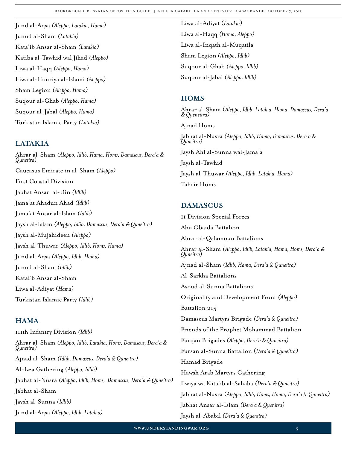Jund al-Aqsa *(Aleppo, Latakia, Hama)* Junud al-Sham *(Latakia)* Kata'ib Ansar al-Sham *(Latakia)* [Katiba al-Tawhid wal Jihad](#page-19-0) *(Aleppo)* Liwa al-Haqq *(Aleppo, Hama)* Liwa al-Houriya al-Islami *(Aleppo)* Sham Legion *(Aleppo, Hama)* Suqour al-Ghab *(Aleppo, Hama)* Suqour al-Jabal *(Aleppo, Hama)* Turkistan Islamic Party *(Latakia)*

### **[LATAKIA](#page-20-0)**

Ahrar al-Sham *[\(Aleppo, Idlib, Hama, Homs, Damascus, Dera'a & Quneitra](#page-21-0)*) Caucasus Emirate in al-Sham *(Aleppo)* First Coastal Division Jabhat Ansar al-Din *(Idlib)* Jama'at Ahadun Ahad *(Idlib)* Jama'at Ansar al-Islam *(Idlib)* Jaysh al-Islam *(Aleppo, Idlib, Damascus, Dera'a & Quneitra)* Jaysh al-Mujahideen *(Aleppo)* Jaysh al-Thuwar *(Aleppo, Idlib, Homs, Hama)* Jund al-Aqsa *(Aleppo, Idlib, Hama)* Junud al-Sham *(Idlib)* Katai'b Ansar al-Sham Liwa al-Adiyat (*Hama)* Turkistan Islamic Party *(Idlib)*

### **[HAMA](#page-22-0)**

111th Infantry Division *(Idlib)* Ahrar al-Sham *[\(Aleppo, Idlib, Latakia, Homs, Damascus, Dera'a & Quneitra\)](#page-23-0)* Ajnad al-Sham *(Idlib, Damascus, Dera'a & Quneitra)* Al-Izza Gathering (*Aleppo, Idlib)* Jabhat al-Nusra *(Aleppo, Idlib, Homs, Damascus, Dera'a & Quneitra)* Jabhat al-Sham Jaysh al-Sunna *(Idlib)* Jund al-Aqsa *(Aleppo, Idlib, Latakia)*

Liwa al-Adiyat (*Latakia)* Liwa al-Haqq *(Hama, Aleppo)* [Liwa al-Inqath al-Muqatila](#page-23-0) Sham Legion *(Aleppo, Idlib)* Suqour al-Ghab *(Aleppo, Idlib)* Suqour al-Jabal *(Aleppo, Idlib)*

### **[HOMS](#page-24-0)**

Ahrar al-Sham (*[Aleppo, Idlib, Latakia, Hama, Damascus, Dera'a](#page-25-0) [& Queneitra\)](#page-25-0)* Ajnad Homs Jabhat al-Nusra *(Aleppo, Idlib, Hama, Damascus, Dera'a & Quneitra)* Jaysh Ahl al-Sunna wal-Jama'a Jaysh al-Tawhid Jaysh al-Thuwar *(Aleppo, Idlib, Latakia, Hama)* Tahrir Homs

### **[DAMASCUS](#page-26-0)**

11 Division Special Forces Abu Obaida Battalion Ahrar al-Qalamoun Battalions Ahrar al-Sham *[\(Aleppo, Idlib, Latakia, Hama, Homs, Dera'a & Quneitra](#page-27-0)*) Ajnad al-Sham *(Idlib, Hama, Dera'a & Quneitra)* Al-Sarkha Battalions Asoud al-Sunna Battalions Originality and Development Front *(Aleppo)* Battalion 215 Damascus Martyrs Brigade *(Dera'a & Quneitra)* Friends of the Prophet Mohammad Battalion Furqan Brigades *(Aleppo, Dera'a & Quneitra)* Fursan al-Sunna Battalion (*Dera'a & Quneitra)* Hamad Brigade Hawsh Arab Martyrs Gathering Ilwiya wa Kita'ib al-Sahaba *(Dera'a & Quneitra)* Jabhat al-Nusra (*Aleppo, Idlib, Homs, Homa, Dera'a & Quneitra)* Jabhat Ansar al-Islam *(Dera'a & Quenitra)* Jaysh al-Ababil *(Dera'a & Quenitra)*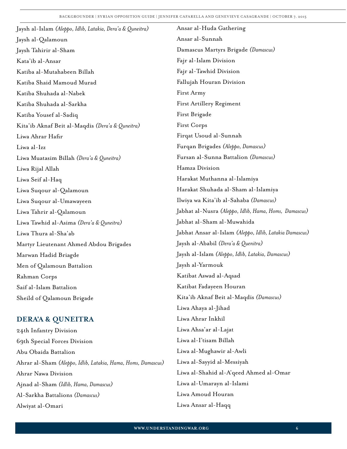| Jaysh al-Islam (Aleppo, Idlib, Latakia, Dera'a & Quneitra) | Ansar al-Huda Gathering                                 |
|------------------------------------------------------------|---------------------------------------------------------|
| Jaysh al-Qalamoun                                          | Ansar al-Sunnah                                         |
| Jaysh Tahirir al-Sham                                      | Damascus Martyrs Brigade (Damascus)                     |
| Kata'ib al-Ansar                                           | Fajr al-Islam Division                                  |
| Katiba al-Mutahabeen Billah                                | Fajr al-Tawhid Division                                 |
| Katiba Shaid Mamoud Murad                                  | Fallujah Houran Division                                |
| Katiba Shuhada al-Nabek                                    | First Army                                              |
| Katiba Shuhada al-Sarkha                                   | First Artillery Regiment                                |
| Katiba Yousef al-Sadiq                                     | First Brigade                                           |
| Kita'ib Aknaf Beit al-Maqdis (Dera'a & Quneitra)           | First Corps                                             |
| Liwa Ahrar Hafir                                           | Firqat Usoud al-Sunnah                                  |
| Liwa al-Izz                                                | Furqan Brigades (Aleppo, Damascus)                      |
| Liwa Muatasim Billah (Dera'a & Quneitra)                   | Fursan al-Sunna Battalion (Damascus)                    |
| Liwa Rijal Allah                                           | Hamza Division                                          |
| Liwa Seif al-Haq                                           | Harakat Muthanna al-Islamiya                            |
| Liwa Suqour al-Qalamoun                                    | Harakat Shuhada al-Sham al-Islamiya                     |
| Liwa Suqour al-Umawayeen                                   | Ilwiya wa Kita'ib al-Sahaba (Damascus)                  |
| Liwa Tahrir al-Qalamoun                                    | Jabhat al-Nusra (Aleppo, Idlib, Hama, Homs, Damascus)   |
| Liwa Tawhid al-Asima (Dera'a & Quneitra)                   | Jabhat al-Sham al-Muwahida                              |
| Liwa Thura al-Sha'ab                                       | Jabhat Ansar al-Islam (Aleppo, Idlib, Latakia Damascus) |
| Martyr Lieutenant Ahmed Abdou Brigades                     | Jaysh al-Ababil (Dera'a & Quenitra)                     |
| Marwan Hadid Briagde                                       | Jaysh al-Islam (Aleppo, Idlib, Latakia, Damascus)       |
| Men of Qalamoun Battalion                                  | Jaysh al-Yarmouk                                        |
| Rahman Corps                                               | Katibat Aswad al-Aqsad                                  |
| Saif al-Islam Battalion                                    | Katibat Fadayeen Houran                                 |
| Sheild of Qalamoun Brigade                                 | Kita'ib Aknaf Beit al-Maqdis (Damascus)                 |
|                                                            | Liwa Ahaya al-Jihad                                     |
|                                                            |                                                         |

## **[DERA'A & QUNEITRA](#page-35-0)**

24th Infantry Division 69th Special Forces Division Abu Obaida Battalion Ahrar al-Sham *[\(Aleppo, Idlib, Latakia, Hama, Homs, Damascus\)](#page-34-0)* Ahrar Nawa Division Ajnad al-Sham *(Idlib, Hama, Damascus)* Al-Sarkha Battalions *(Damascus)* Alwiyat al-Omari

Liwa Ahrar Inkhil Liwa Ahsa'ar al-Lajat Liwa al-I'tisam Billah Liwa al-Mughawir al-Awli Liwa al-Sayyid al-Messiyah [Liwa al-Shahid al-A'qeed Ahmed al-Omar](#page-35-0) Liwa al-Umarayn al-Islami Liwa Amoud Houran Liwa Ansar al-Haqq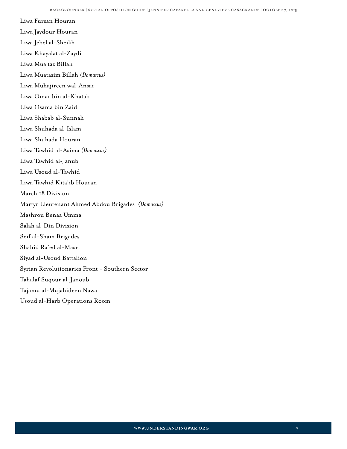<span id="page-6-0"></span>Liwa Fursan Houran Liwa Jaydour Houran Liwa Jebel al-Sheikh Liwa Khayalat al-Zaydi Liwa Mua'taz Billah Liwa Muatasim Billah *(Damascus)* Liwa Muhajireen wal-Ansar Liwa Omar bin al-Khatab Liwa Osama bin Zaid Liwa Shabab al-Sunnah Liwa Shuhada al-Islam Liwa Shuhada Houran Liwa Tawhid al-Asima *(Damascus)* Liwa Tawhid al-Janub Liwa Usoud al-Tawhid Liwa Tawhid Kita'ib Houran March 18 Division Martyr Lieutenant Ahmed Abdou Brigades *(Damascus)* Mashrou Benaa Umma Salah al-Din Division Seif al-Sham Brigades Shahid Ra'ed al-Masri Siyad al-Usoud Battalion [Syrian Revolutionaries Front - Southern Sector](#page-35-0) Tahalaf Suqour al-Janoub Tajamu al-Mujahideen Nawa Usoud al-Harb Operations Room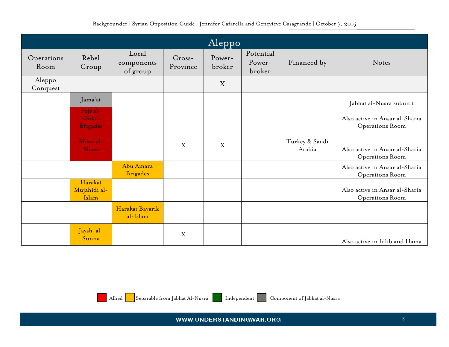|  |  | Backgrounder   Syrian Opposition Guide   Jennifer Cafarella and Genevieve Casagrande   October 7, 2015 |  |  |
|--|--|--------------------------------------------------------------------------------------------------------|--|--|
|--|--|--------------------------------------------------------------------------------------------------------|--|--|

<span id="page-7-0"></span>

|                    | $\sqrt{\text{Aleppo}}$                 |                                 |                      |                  |                               |                          |                                                   |  |  |  |
|--------------------|----------------------------------------|---------------------------------|----------------------|------------------|-------------------------------|--------------------------|---------------------------------------------------|--|--|--|
| Operations<br>Room | Rebel<br>Group                         | Local<br>components<br>of group | $Cross-$<br>Province | Power-<br>broker | Potential<br>Power-<br>broker | Financed by              | Notes                                             |  |  |  |
| Aleppo<br>Conquest |                                        |                                 |                      | X                |                               |                          |                                                   |  |  |  |
|                    | Jama'at                                |                                 |                      |                  |                               |                          | Jabhat al-Nusra subunit                           |  |  |  |
|                    | Fajr al-<br>Khilafa<br><b>Brigades</b> |                                 |                      |                  |                               |                          | Also active in Ansar al-Sharia<br>Operations Room |  |  |  |
|                    | Ahrar al-<br>Sham                      |                                 | X                    | X                |                               | Turkey & Saudi<br>Arabia | Also active in Ansar al-Sharia<br>Operations Room |  |  |  |
|                    |                                        | Abu Amara<br><b>Brigades</b>    |                      |                  |                               |                          | Also active in Ansar al-Sharia<br>Operations Room |  |  |  |
|                    | Harakat<br>Mujahidi al-<br>Islam       |                                 |                      |                  |                               |                          | Also active in Ansar al-Sharia<br>Operations Room |  |  |  |
|                    |                                        | Harakat Bayarik<br>al-Islam     |                      |                  |                               |                          |                                                   |  |  |  |
|                    | Jaysh al-<br>Sunna                     |                                 | $\mathbf X$          |                  |                               |                          | Also active in Idlib and Hama                     |  |  |  |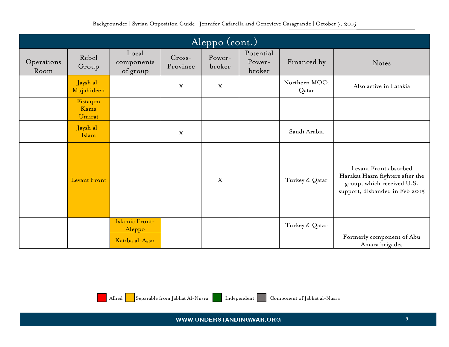| Aleppo (cont.)     |                            |                                 |                      |                  |                               |                        |                                                                                                                          |  |  |  |
|--------------------|----------------------------|---------------------------------|----------------------|------------------|-------------------------------|------------------------|--------------------------------------------------------------------------------------------------------------------------|--|--|--|
| Operations<br>Room | Rebel<br>Group             | Local<br>components<br>of group | $Cross-$<br>Province | Power-<br>broker | Potential<br>Power-<br>broker | Financed by            | Notes                                                                                                                    |  |  |  |
|                    | Jaysh al-<br>Mujahideen    |                                 | $\mathbf X$          | X                |                               | Northern MOC;<br>Qatar | Also active in Latakia                                                                                                   |  |  |  |
|                    | Fistaqim<br>Kama<br>Umirat |                                 |                      |                  |                               |                        |                                                                                                                          |  |  |  |
|                    | Jaysh al-<br>Islam         |                                 | $\boldsymbol{X}$     |                  |                               | Saudi Arabia           |                                                                                                                          |  |  |  |
|                    | <b>Levant Front</b>        |                                 |                      | X                |                               | Turkey & Qatar         | Levant Front absorbed<br>Harakat Hazm fighters after the<br>group, which received U.S.<br>support, disbanded in Feb 2015 |  |  |  |
|                    |                            | Islamic Front-<br>Aleppo        |                      |                  |                               | Turkey & Qatar         |                                                                                                                          |  |  |  |
|                    |                            | Katiba al-Assir                 |                      |                  |                               |                        | Formerly component of Abu<br>Amara brigades                                                                              |  |  |  |

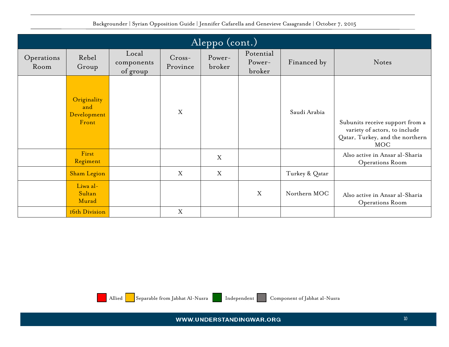|                    | $\overline{\rm{Aleppo\ (cont.)}}$          |                                 |                      |                  |                               |                |                                                                                                                   |  |  |  |  |
|--------------------|--------------------------------------------|---------------------------------|----------------------|------------------|-------------------------------|----------------|-------------------------------------------------------------------------------------------------------------------|--|--|--|--|
| Operations<br>Room | Rebel<br>Group                             | Local<br>components<br>of group | $Cross-$<br>Province | Power-<br>broker | Potential<br>Power-<br>broker | Financed by    | Notes                                                                                                             |  |  |  |  |
|                    | Originality<br>and<br>Development<br>Front |                                 | $\mathbf X$          |                  |                               | Saudi Arabia   | Subunits receive support from a<br>variety of actors, to include<br>Qatar, Turkey, and the northern<br><b>MOC</b> |  |  |  |  |
|                    | First<br>Regiment                          |                                 |                      | X                |                               |                | Also active in Ansar al-Sharia<br>Operations Room                                                                 |  |  |  |  |
|                    | <b>Sham Legion</b>                         |                                 | X                    | X                |                               | Turkey & Qatar |                                                                                                                   |  |  |  |  |
|                    | Liwa al-<br>Sultan<br>Murad                |                                 |                      |                  | X                             | Northern MOC   | Also active in Ansar al-Sharia<br>Operations Room                                                                 |  |  |  |  |
|                    | 16th Division                              |                                 | X                    |                  |                               |                |                                                                                                                   |  |  |  |  |

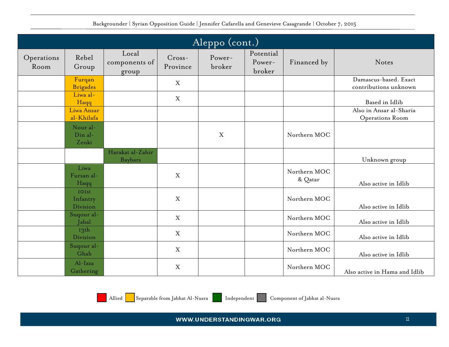|                    |                               |                                    |                      | $\overline{\rm{Aleppo}}$ (cont.) |                               |                         |                                                |  |
|--------------------|-------------------------------|------------------------------------|----------------------|----------------------------------|-------------------------------|-------------------------|------------------------------------------------|--|
| Operations<br>Room | Rebel<br>Group                | Local<br>components of<br>group    | $Cross-$<br>Province | Power-<br>broker                 | Potential<br>Power-<br>broker | Financed by             | Notes                                          |  |
|                    | Furqan<br><b>Brigades</b>     |                                    | $\boldsymbol{X}$     |                                  |                               |                         | Damascus-based. Exact<br>contributions unknown |  |
|                    | Liwa al-<br>Haqq              |                                    | $\mathbf X$          |                                  |                               |                         | Based in Idlib                                 |  |
|                    | Liwa Ansar<br>al-Khilafa      |                                    |                      |                                  |                               |                         | Also in Ansar al-Sharia<br>Operations Room     |  |
|                    | Nour al-<br>Din al-<br>Zenki  |                                    |                      | X                                |                               | Northern MOC            |                                                |  |
|                    |                               | Harakat al-Zahir<br><b>Baybars</b> |                      |                                  |                               |                         | Unknown group                                  |  |
|                    | Liwa<br>Fursan al-<br>Haqq    |                                    | X                    |                                  |                               | Northern MOC<br>& Qatar | Also active in Idlib                           |  |
|                    | IOIst<br>Infantry<br>Division |                                    | $\mathbf X$          |                                  |                               | Northern MOC            | Also active in Idlib                           |  |
|                    | Suqour al-<br>Jabal           |                                    | $\mathbf X$          |                                  |                               | Northern MOC            | Also active in Idlib                           |  |
|                    | 13th<br>Division              |                                    | $\mathbf X$          |                                  |                               | Northern MOC            | Also active in Idlib                           |  |
|                    | Suqour al-<br>Ghab            |                                    | X                    |                                  |                               | Northern MOC            | Also active in Idlib                           |  |
|                    | Al-Izza<br>Gathering          |                                    | $\mathbf X$          |                                  |                               | Northern MOC            | Also active in Hama and Idlib                  |  |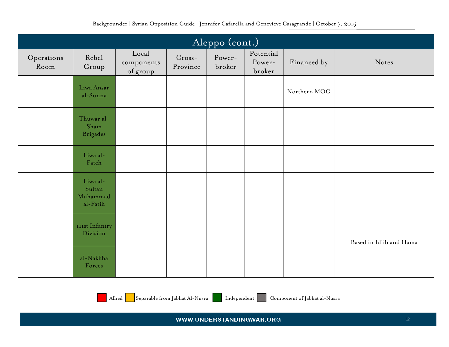|                    | Aleppo (cont.)                               |                                 |                      |                  |                               |              |                         |  |  |  |
|--------------------|----------------------------------------------|---------------------------------|----------------------|------------------|-------------------------------|--------------|-------------------------|--|--|--|
| Operations<br>Room | Rebel<br>Group                               | Local<br>components<br>of group | $Cross-$<br>Province | Power-<br>broker | Potential<br>Power-<br>broker | Financed by  | Notes                   |  |  |  |
|                    | Liwa Ansar<br>al-Sunna                       |                                 |                      |                  |                               | Northern MOC |                         |  |  |  |
|                    | Thuwar al-<br>Sham<br><b>Brigades</b>        |                                 |                      |                  |                               |              |                         |  |  |  |
|                    | Liwa al-<br>Fateh                            |                                 |                      |                  |                               |              |                         |  |  |  |
|                    | Liwa al-<br>Sultan<br>Muhammad<br>$al-Fatih$ |                                 |                      |                  |                               |              |                         |  |  |  |
|                    | <b>IIIst Infantry</b><br>Division            |                                 |                      |                  |                               |              | Based in Idlib and Hama |  |  |  |
|                    | al-Nakhba<br>Forces                          |                                 |                      |                  |                               |              |                         |  |  |  |

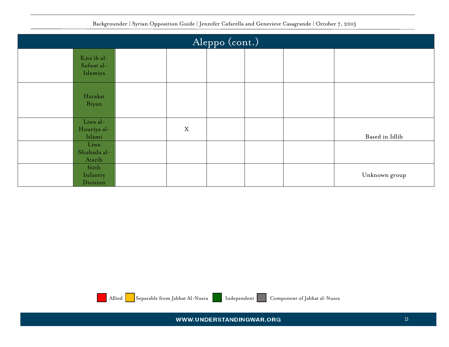| Aleppo (cont.)                        |             |  |  |  |                |  |  |  |
|---------------------------------------|-------------|--|--|--|----------------|--|--|--|
| Kita'ib al-<br>Safwat al-<br>Islamiya |             |  |  |  |                |  |  |  |
| Harakat<br>Biyan                      |             |  |  |  |                |  |  |  |
| Liwa al-<br>Houriya al-<br>Islami     | $\mathbf X$ |  |  |  | Based in Idlib |  |  |  |
| Liwa<br>Shuhada al-<br>Atarib         |             |  |  |  |                |  |  |  |
| 60th<br>Infantry<br>Division          |             |  |  |  | Unknown group  |  |  |  |



Allied Separable from Jabhat Al-Nusra Independent Component of Jabhat al-Nusra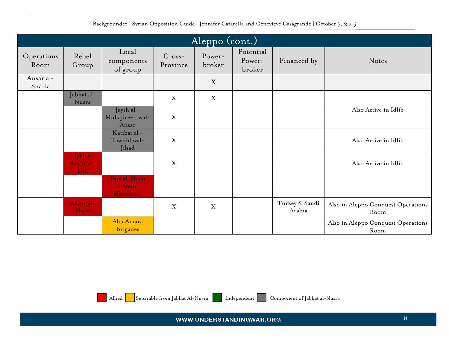| $ \overline{\rm{Aleppo}}\left( \rm{cont.}\right)  $ |                             |                                       |                      |                  |                               |                          |                                            |  |  |
|-----------------------------------------------------|-----------------------------|---------------------------------------|----------------------|------------------|-------------------------------|--------------------------|--------------------------------------------|--|--|
| Operations<br>Room                                  | Rebel<br>Group              | Local<br>components<br>of group       | $Cross-$<br>Province | Power-<br>broker | Potential<br>Power-<br>broker | Financed by              | Notes                                      |  |  |
| Ansar al-<br>Sharia                                 |                             |                                       |                      | X                |                               |                          |                                            |  |  |
|                                                     | Jabhat al-<br>Nusra         |                                       | X                    | $\mathbf X$      |                               |                          |                                            |  |  |
|                                                     |                             | Jaysh al-<br>Muhajireen wal-<br>Ansar | X                    |                  |                               |                          | Also Active in Idlib                       |  |  |
|                                                     |                             | Katibat al-<br>Tawhid wal-<br>Jihad   | $\mathbf X$          |                  |                               |                          | Also Active in Idlib                       |  |  |
|                                                     | Jabhat<br>Ansar al-<br>Din. |                                       | X                    |                  |                               |                          | Also Active in Idlib                       |  |  |
|                                                     |                             | Fajr al-Sham<br>Islamic<br>Movement   |                      |                  |                               |                          |                                            |  |  |
|                                                     | Ahrar al-<br>Sham           |                                       | X                    | X                |                               | Turkey & Saudi<br>Arabia | Also in Aleppo Conquest Operations<br>Room |  |  |
|                                                     |                             | Abu Amara<br><b>Brigades</b>          |                      |                  |                               |                          | Also in Aleppo Conquest Operations<br>Room |  |  |



Allied Separable from Jabhat Al-Nusra Independent Component of Jabhat al-Nusra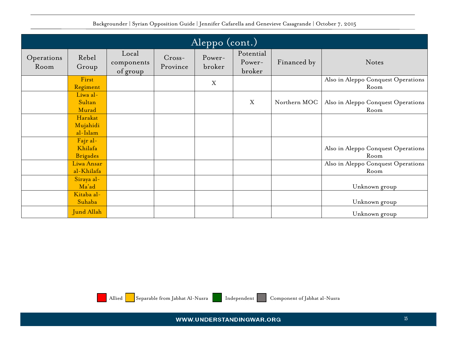|                    | $ \overline{\rm{Aleppo}}\left( \rm{cont.}\right)  $ |                                 |                      |                  |                               |              |                                            |  |  |  |
|--------------------|-----------------------------------------------------|---------------------------------|----------------------|------------------|-------------------------------|--------------|--------------------------------------------|--|--|--|
| Operations<br>Room | Rebel<br>Group                                      | Local<br>components<br>of group | $Cross-$<br>Province | Power-<br>broker | Potential<br>Power-<br>broker | Financed by  | Notes                                      |  |  |  |
|                    | First<br>Regiment                                   |                                 |                      | X                |                               |              | Also in Aleppo Conquest Operations<br>Room |  |  |  |
|                    | Liwa al-<br>Sultan<br>Murad                         |                                 |                      |                  | X                             | Northern MOC | Also in Aleppo Conquest Operations<br>Room |  |  |  |
|                    | Harakat<br>Mujahidi<br>al-Islam                     |                                 |                      |                  |                               |              |                                            |  |  |  |
|                    | Fajr al-<br>Khilafa<br><b>Brigades</b>              |                                 |                      |                  |                               |              | Also in Aleppo Conquest Operations<br>Room |  |  |  |
|                    | Liwa Ansar<br>al-Khilafa                            |                                 |                      |                  |                               |              | Also in Aleppo Conquest Operations<br>Room |  |  |  |
|                    | Siraya al-<br>Ma'ad                                 |                                 |                      |                  |                               |              | Unknown group                              |  |  |  |
|                    | Kitaba al-<br>Suhaba                                |                                 |                      |                  |                               |              | Unknown group                              |  |  |  |
|                    | <b>Jund Allah</b>                                   |                                 |                      |                  |                               |              | Unknown group                              |  |  |  |



Allied Separable from Jabhat Al-Nusra Independent Component of Jabhat al-Nusra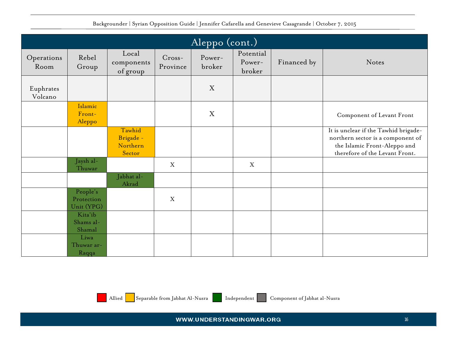| Aleppo (cont.)       |                                      |                                           |                      |                  |                               |             |                                                                                                                                             |  |  |  |  |
|----------------------|--------------------------------------|-------------------------------------------|----------------------|------------------|-------------------------------|-------------|---------------------------------------------------------------------------------------------------------------------------------------------|--|--|--|--|
| Operations<br>Room   | Rebel<br>Group                       | Local<br>components<br>of group           | $Cross-$<br>Province | Power-<br>broker | Potential<br>Power-<br>broker | Financed by | Notes                                                                                                                                       |  |  |  |  |
| Euphrates<br>Volcano |                                      |                                           |                      | X                |                               |             |                                                                                                                                             |  |  |  |  |
|                      | Islamic<br>Front-<br>Aleppo          |                                           |                      | X                |                               |             | Component of Levant Front                                                                                                                   |  |  |  |  |
|                      |                                      | Tawhid<br>Brigade -<br>Northern<br>Sector |                      |                  |                               |             | It is unclear if the Tawhid brigade-<br>northern sector is a component of<br>the Islamic Front-Aleppo and<br>therefore of the Levant Front. |  |  |  |  |
|                      | Jaysh al-<br>Thuwar                  |                                           | X                    |                  | X                             |             |                                                                                                                                             |  |  |  |  |
|                      |                                      | Jabhat al-<br>Akrad                       |                      |                  |                               |             |                                                                                                                                             |  |  |  |  |
|                      | People's<br>Protection<br>Unit (YPG) |                                           | X                    |                  |                               |             |                                                                                                                                             |  |  |  |  |
|                      | Kita'ib<br>Shams al-<br>Shamal       |                                           |                      |                  |                               |             |                                                                                                                                             |  |  |  |  |
|                      | Liwa<br>Thuwar ar-<br>Raqqa          |                                           |                      |                  |                               |             |                                                                                                                                             |  |  |  |  |

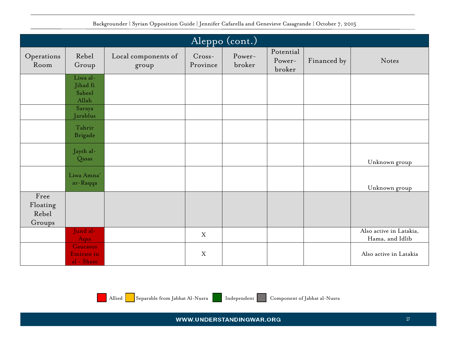| Aleppo (cont.)                      |                                            |                              |                      |                  |                               |             |                                            |  |  |  |
|-------------------------------------|--------------------------------------------|------------------------------|----------------------|------------------|-------------------------------|-------------|--------------------------------------------|--|--|--|
|                                     |                                            |                              |                      |                  |                               |             |                                            |  |  |  |
| Operations<br>Room                  | Rebel<br>Group                             | Local components of<br>group | $Cross-$<br>Province | Power-<br>broker | Potential<br>Power-<br>broker | Financed by | Notes                                      |  |  |  |
|                                     | Liwa al-<br>Jihad fi<br>Sabeel<br>Allah    |                              |                      |                  |                               |             |                                            |  |  |  |
|                                     | Saraya<br>Jarablus                         |                              |                      |                  |                               |             |                                            |  |  |  |
|                                     | Tahrir<br><b>Brigade</b>                   |                              |                      |                  |                               |             |                                            |  |  |  |
|                                     | Jaysh al-<br>Qasas                         |                              |                      |                  |                               |             | Unknown group                              |  |  |  |
|                                     | Liwa Amna'<br>ar-Raqqa                     |                              |                      |                  |                               |             | Unknown group                              |  |  |  |
| Free<br>Floating<br>Rebel<br>Groups |                                            |                              |                      |                  |                               |             |                                            |  |  |  |
|                                     | Jund al-<br>Aqsa                           |                              | $\boldsymbol{X}$     |                  |                               |             | Also active in Latakia,<br>Hama, and Idlib |  |  |  |
|                                     | <b>Caucasus</b><br>Emirate in<br>al - Sham |                              | $\mathbf X$          |                  |                               |             | Also active in Latakia                     |  |  |  |

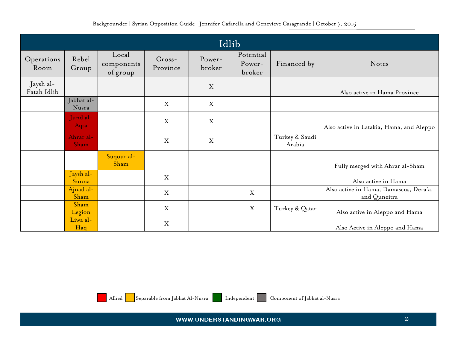<span id="page-17-0"></span>

|                          | Idlib               |                                 |                      |                  |                               |                          |                                                        |  |  |  |  |  |
|--------------------------|---------------------|---------------------------------|----------------------|------------------|-------------------------------|--------------------------|--------------------------------------------------------|--|--|--|--|--|
| Operations<br>Room       | Rebel<br>Group      | Local<br>components<br>of group | $Cross-$<br>Province | Power-<br>broker | Potential<br>Power-<br>broker | Financed by              | Notes                                                  |  |  |  |  |  |
| Jaysh al-<br>Fatah Idlib |                     |                                 |                      | $\mathbf X$      |                               |                          | Also active in Hama Province                           |  |  |  |  |  |
|                          | Jabhat al-<br>Nusra |                                 | X                    | X                |                               |                          |                                                        |  |  |  |  |  |
|                          | Jund al-<br>Aqsa    |                                 | X                    | X                |                               |                          | Also active in Latakia, Hama, and Aleppo               |  |  |  |  |  |
|                          | Ahrar al-<br>Sham   |                                 | X                    | X                |                               | Turkey & Saudi<br>Arabia |                                                        |  |  |  |  |  |
|                          |                     | Suqour al-<br>Sham              |                      |                  |                               |                          | Fully merged with Ahrar al-Sham                        |  |  |  |  |  |
|                          | Jaysh al-<br>Sunna  |                                 | X                    |                  |                               |                          | Also active in Hama                                    |  |  |  |  |  |
|                          | Ajnad al-<br>Sham   |                                 | X                    |                  | $\mathbf X$                   |                          | Also active in Hama, Damascus, Dera'a,<br>and Quneitra |  |  |  |  |  |
|                          | Sham<br>Legion      |                                 | X                    |                  | $\boldsymbol{X}$              | Turkey & Qatar           | Also active in Aleppo and Hama                         |  |  |  |  |  |
|                          | Liwa al-<br>Haq     |                                 | X                    |                  |                               |                          | Also Active in Aleppo and Hama                         |  |  |  |  |  |



Allied Separable from Jabhat Al-Nusra Independent Component of Jabhat al-Nusra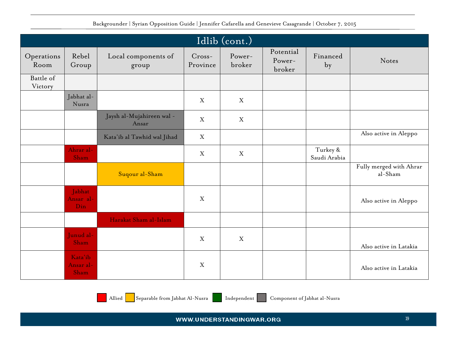|                      | Idlib (cont.)                |                                    |                    |                  |                               |                          |                                    |  |  |  |  |  |  |
|----------------------|------------------------------|------------------------------------|--------------------|------------------|-------------------------------|--------------------------|------------------------------------|--|--|--|--|--|--|
| Operations<br>Room   | Rebel<br>Group               | Local components of<br>group       | Cross-<br>Province | Power-<br>broker | Potential<br>Power-<br>broker | Financed<br>by           | Notes                              |  |  |  |  |  |  |
| Battle of<br>Victory |                              |                                    |                    |                  |                               |                          |                                    |  |  |  |  |  |  |
|                      | Jabhat al-<br>Nusra          |                                    | X                  | $\mathbf{X}$     |                               |                          |                                    |  |  |  |  |  |  |
|                      |                              | Jaysh al-Mujahireen wal -<br>Ansar | $\mathbf X$        | $\boldsymbol{X}$ |                               |                          |                                    |  |  |  |  |  |  |
|                      |                              | Kata'ib al Tawhid wal Jihad        | $\mathbf X$        |                  |                               |                          | Also active in Aleppo              |  |  |  |  |  |  |
|                      | Ahrar al-<br>Sham            |                                    | X                  | $\mathbf X$      |                               | Turkey &<br>Saudi Arabia |                                    |  |  |  |  |  |  |
|                      |                              | Suqour al-Sham                     |                    |                  |                               |                          | Fully merged with Ahrar<br>al-Sham |  |  |  |  |  |  |
|                      | Jabhat<br>Ansar al-<br>Din   |                                    | $\mathbf X$        |                  |                               |                          | Also active in Aleppo              |  |  |  |  |  |  |
|                      |                              | Harakat Sham al-Islam              |                    |                  |                               |                          |                                    |  |  |  |  |  |  |
|                      | Junud al-<br>Sham            |                                    | $\mathbf X$        | $\mathbf{X}$     |                               |                          | Also active in Latakia             |  |  |  |  |  |  |
|                      | Kata'ib<br>Ansar al-<br>Sham |                                    | $\mathbf X$        |                  |                               |                          | Also active in Latakia             |  |  |  |  |  |  |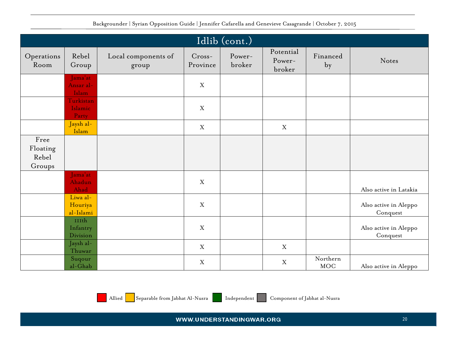<span id="page-19-0"></span>

|                                     | Idlib (cont.)                    |                              |                      |                  |                               |                        |                                   |  |  |  |  |  |
|-------------------------------------|----------------------------------|------------------------------|----------------------|------------------|-------------------------------|------------------------|-----------------------------------|--|--|--|--|--|
| Operations<br>Room                  | Rebel<br>Group                   | Local components of<br>group | $Cross-$<br>Province | Power-<br>broker | Potential<br>Power-<br>broker | Financed<br>by         | Notes                             |  |  |  |  |  |
|                                     | Jama'at<br>Ansar al-<br>Islam    |                              | X                    |                  |                               |                        |                                   |  |  |  |  |  |
|                                     | Turkistan<br>Islamic<br>Party    |                              | $\mathbf X$          |                  |                               |                        |                                   |  |  |  |  |  |
|                                     | Jaysh al-<br>Islam               |                              | $\mathbf X$          |                  | $\mathbf X$                   |                        |                                   |  |  |  |  |  |
| Free<br>Floating<br>Rebel<br>Groups |                                  |                              |                      |                  |                               |                        |                                   |  |  |  |  |  |
|                                     | Jama'at<br>Ahadun<br>Ahad        |                              | $\mathbf X$          |                  |                               |                        | Also active in Latakia            |  |  |  |  |  |
|                                     | Liwa al-<br>Houriya<br>al-Islami |                              | $\mathbf X$          |                  |                               |                        | Also active in Aleppo<br>Conquest |  |  |  |  |  |
|                                     | IIIth<br>Infantry<br>Division    |                              | $\mathbf X$          |                  |                               |                        | Also active in Aleppo<br>Conquest |  |  |  |  |  |
|                                     | Jaysh al-<br>Thuwar              |                              | X                    |                  | X                             |                        |                                   |  |  |  |  |  |
|                                     | Suqour<br>al-Ghab                |                              | $\mathbf X$          |                  | X                             | Northern<br><b>MOC</b> | Also active in Aleppo             |  |  |  |  |  |

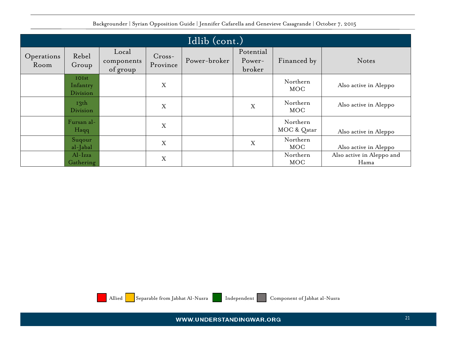<span id="page-20-0"></span>

|                    | Idlib (cont.)                 |                                 |                      |              |                               |                         |                                   |  |  |  |  |
|--------------------|-------------------------------|---------------------------------|----------------------|--------------|-------------------------------|-------------------------|-----------------------------------|--|--|--|--|
| Operations<br>Room | Rebel<br>Group                | Local<br>components<br>of group | $Cross-$<br>Province | Power-broker | Potential<br>Power-<br>broker | Financed by             | Notes                             |  |  |  |  |
|                    | IOIst<br>Infantry<br>Division |                                 | X                    |              |                               | Northern<br><b>MOC</b>  | Also active in Aleppo             |  |  |  |  |
|                    | 13 <sup>th</sup><br>Division  |                                 | X                    |              | X                             | Northern<br>MOC         | Also active in Aleppo             |  |  |  |  |
|                    | Fursan al-<br>Haqq            |                                 | X                    |              |                               | Northern<br>MOC & Qatar | Also active in Aleppo             |  |  |  |  |
|                    | Suqour<br>al-Jabal            |                                 | X                    |              | X                             | Northern<br><b>MOC</b>  | Also active in Aleppo             |  |  |  |  |
|                    | $Al-Izza$<br>Gathering        |                                 | X                    |              |                               | Northern<br><b>MOC</b>  | Also active in Aleppo and<br>Hama |  |  |  |  |



Allied Separable from Jabhat Al-Nusra Independent Component of Jabhat al-Nusra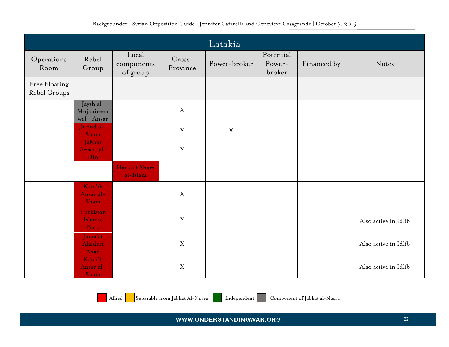<span id="page-21-0"></span>

|                               |                                        |                                 |                           | Latakia      |                               |             |                      |
|-------------------------------|----------------------------------------|---------------------------------|---------------------------|--------------|-------------------------------|-------------|----------------------|
| Operations<br>Room            | Rebel<br>Group                         | Local<br>components<br>of group | $Cross-$<br>Province      | Power-broker | Potential<br>Power-<br>broker | Financed by | Notes                |
| Free Floating<br>Rebel Groups |                                        |                                 |                           |              |                               |             |                      |
|                               | Jaysh al-<br>Mujahireen<br>wal - Ansar |                                 | $\mathbf X$               |              |                               |             |                      |
|                               | Junud al-<br>Sham                      |                                 | $\mathbf X$               | $\mathbf X$  |                               |             |                      |
|                               | Jabhat<br>Ansar al-<br>Din             |                                 | $\mathbf X$               |              |                               |             |                      |
|                               |                                        | Harakat Sham<br>al-Islam        |                           |              |                               |             |                      |
|                               | Kata'ib<br>Ansar al-<br>Sham           |                                 | $\mathbf X$               |              |                               |             |                      |
|                               | Turkistan<br>Islamic<br>Party          |                                 | X                         |              |                               |             | Also active in Idlib |
|                               | Jama'at<br>Ahadun<br>Ahad              |                                 | $\mathbf X$               |              |                               |             | Also active in Idlib |
|                               | Katai'b<br>Ansar al-<br>Sham           |                                 | $\boldsymbol{\mathrm{X}}$ |              |                               |             | Also active in Idlib |

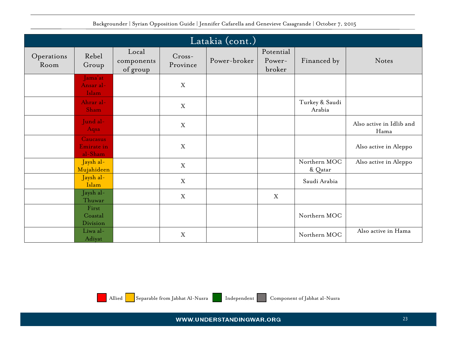<span id="page-22-0"></span>

|                    | Latakia (cont.)                                 |                                 |                           |              |                               |                          |                                  |  |  |  |  |  |
|--------------------|-------------------------------------------------|---------------------------------|---------------------------|--------------|-------------------------------|--------------------------|----------------------------------|--|--|--|--|--|
| Operations<br>Room | Rebel<br>Group                                  | Local<br>components<br>of group | $Cross-$<br>Province      | Power-broker | Potential<br>Power-<br>broker | Financed by              | Notes                            |  |  |  |  |  |
|                    | Jama'at<br>Ansar al-<br>Islam                   |                                 | X                         |              |                               |                          |                                  |  |  |  |  |  |
|                    | Ahrar al-<br>Sham                               |                                 | $\boldsymbol{\mathrm{X}}$ |              |                               | Turkey & Saudi<br>Arabia |                                  |  |  |  |  |  |
|                    | Jund al-<br>Aqsa                                |                                 | X                         |              |                               |                          | Also active in Idlib and<br>Hama |  |  |  |  |  |
|                    | <b>Caucasus</b><br><b>Emirate</b> in<br>al-Sham |                                 | $\mathbf X$               |              |                               |                          | Also active in Aleppo            |  |  |  |  |  |
|                    | Jaysh al-<br>Mujahideen                         |                                 | X                         |              |                               | Northern MOC<br>& Qatar  | Also active in Aleppo            |  |  |  |  |  |
|                    | Jaysh al-<br>Islam                              |                                 | $\mathbf X$               |              |                               | Saudi Arabia             |                                  |  |  |  |  |  |
|                    | Jaysh al-<br>Thuwar                             |                                 | X                         |              | X                             |                          |                                  |  |  |  |  |  |
|                    | First<br>Coastal<br>Division                    |                                 |                           |              |                               | Northern MOC             |                                  |  |  |  |  |  |
|                    | Liwa al-<br>Adiyat                              |                                 | X                         |              |                               | Northern MOC             | Also active in Hama              |  |  |  |  |  |

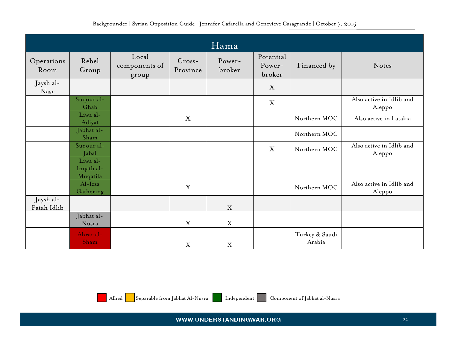<span id="page-23-0"></span>

|                          |                                    |                                 |                      | Hama             |                               |                          |                                    |
|--------------------------|------------------------------------|---------------------------------|----------------------|------------------|-------------------------------|--------------------------|------------------------------------|
| Operations<br>Room       | Rebel<br>Group                     | Local<br>components of<br>group | $Cross-$<br>Province | Power-<br>broker | Potential<br>Power-<br>broker | Financed by              | Notes                              |
| Jaysh al-<br>Nasr        |                                    |                                 |                      |                  | X                             |                          |                                    |
|                          | Suqour al-<br>Ghab                 |                                 |                      |                  | $\boldsymbol{X}$              |                          | Also active in Idlib and<br>Aleppo |
|                          | Liwa al-<br>Adiyat                 |                                 | X                    |                  |                               | Northern MOC             | Also active in Latakia             |
|                          | Jabhat al-<br>Sham                 |                                 |                      |                  |                               | Northern MOC             |                                    |
|                          | Suqour al-<br>Jabal                |                                 |                      |                  | $\boldsymbol{X}$              | Northern MOC             | Also active in Idlib and<br>Aleppo |
|                          | Liwa al-<br>Inqath al-<br>Muqatila |                                 |                      |                  |                               |                          |                                    |
|                          | Al-Izza<br>Gathering               |                                 | X                    |                  |                               | Northern MOC             | Also active in Idlib and<br>Aleppo |
| Jaysh al-<br>Fatah Idlib |                                    |                                 |                      | $\mathbf X$      |                               |                          |                                    |
|                          | Jabhat al-<br>Nusra                |                                 | $\mathbf X$          | X                |                               |                          |                                    |
|                          | Ahrar al-<br>Sham                  |                                 | X                    | X                |                               | Turkey & Saudi<br>Arabia |                                    |

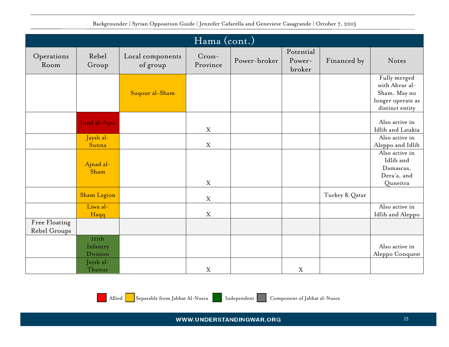<span id="page-24-0"></span>

|                               | Hama (cont.)                  |                              |                      |              |                               |                |                                                                                        |  |  |  |  |  |
|-------------------------------|-------------------------------|------------------------------|----------------------|--------------|-------------------------------|----------------|----------------------------------------------------------------------------------------|--|--|--|--|--|
| Operations<br>Room            | Rebel<br>Group                | Local components<br>of group | $Cross-$<br>Province | Power-broker | Potential<br>Power-<br>broker | Financed by    | Notes                                                                                  |  |  |  |  |  |
|                               |                               | Suqour al-Sham               |                      |              |                               |                | Fully merged<br>with Ahrar al-<br>Sham. May no<br>longer operate as<br>distinct entity |  |  |  |  |  |
|                               | Jund al-Aqsa                  |                              | X                    |              |                               |                | Also active in<br>Idlib and Latakia                                                    |  |  |  |  |  |
|                               | Jaysh al-<br>Sunna            |                              | $\mathbf X$          |              |                               |                | Also active in<br>Aleppo and Idlib                                                     |  |  |  |  |  |
|                               | Ajnad al-<br>Sham             |                              | $\mathbf X$          |              |                               |                | Also active in<br>Idlib and<br>Damascus,<br>Dera'a, and<br>Quneitra                    |  |  |  |  |  |
|                               | <b>Sham Legion</b>            |                              | $\mathbf X$          |              |                               | Turkey & Qatar |                                                                                        |  |  |  |  |  |
|                               | Liwa al-<br>Haqq              |                              | X                    |              |                               |                | Also active in<br>Idlib and Aleppo                                                     |  |  |  |  |  |
| Free Floating<br>Rebel Groups |                               |                              |                      |              |                               |                |                                                                                        |  |  |  |  |  |
|                               | IIIth<br>Infantry<br>Division |                              |                      |              |                               |                | Also active in<br>Aleppo Conquest                                                      |  |  |  |  |  |
|                               | Jaysh al-<br>Thuwar           |                              | X                    |              | $\mathbf X$                   |                |                                                                                        |  |  |  |  |  |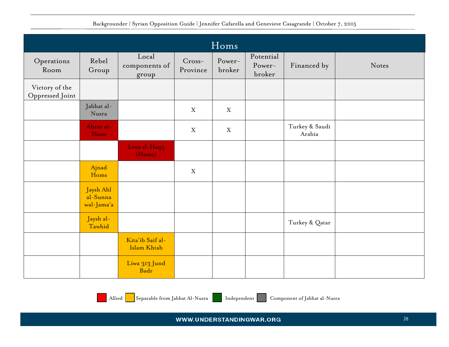<span id="page-25-0"></span>

|                                   |                                     |                                 |                      | Homs             |                               |                          |       |
|-----------------------------------|-------------------------------------|---------------------------------|----------------------|------------------|-------------------------------|--------------------------|-------|
| Operations<br>Room                | Rebel<br>Group                      | Local<br>components of<br>group | $Cross-$<br>Province | Power-<br>broker | Potential<br>Power-<br>broker | Financed by              | Notes |
| Victory of the<br>Oppressed Joint |                                     |                                 |                      |                  |                               |                          |       |
|                                   | Jabhat al-<br>Nusra                 |                                 | X                    | $\boldsymbol{X}$ |                               |                          |       |
|                                   | Ahrar al-<br>Sham                   |                                 | X                    | $\mathbf X$      |                               | Turkey & Saudi<br>Arabia |       |
|                                   |                                     | Liwa al-Haqq<br>(Homs)          |                      |                  |                               |                          |       |
|                                   | Ajnad<br>Homs                       |                                 | X                    |                  |                               |                          |       |
|                                   | Jaysh Ahl<br>al-Sunna<br>wal-Jama'a |                                 |                      |                  |                               |                          |       |
|                                   | Jaysh al-<br>Tawhid                 |                                 |                      |                  |                               | Turkey & Qatar           |       |
|                                   |                                     | Kita'ib Saif al-<br>Islam Khtab |                      |                  |                               |                          |       |
|                                   |                                     | Liwa 313 Jund<br>Badr           |                      |                  |                               |                          |       |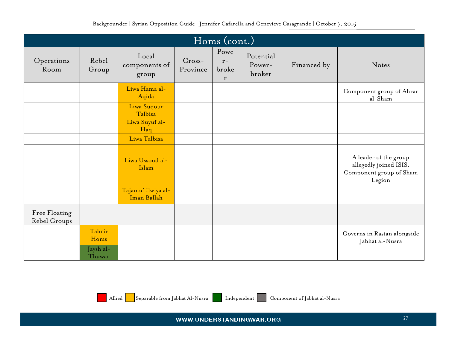<span id="page-26-0"></span>

|                               |                     |                                   |                      | Homs (cont.)               |                               |             |                                                                                      |
|-------------------------------|---------------------|-----------------------------------|----------------------|----------------------------|-------------------------------|-------------|--------------------------------------------------------------------------------------|
| Operations<br>Room            | Rebel<br>Group      | Local<br>components of<br>group   | $Cross-$<br>Province | Powe<br>$r-$<br>broke<br>r | Potential<br>Power-<br>broker | Financed by | Notes                                                                                |
|                               |                     | Liwa Hama al-<br>Aqida            |                      |                            |                               |             | Component group of Ahrar<br>al-Sham                                                  |
|                               |                     | Liwa Suqour<br>Talbisa            |                      |                            |                               |             |                                                                                      |
|                               |                     | Liwa Suyuf al-<br>Haq             |                      |                            |                               |             |                                                                                      |
|                               |                     | Liwa Talbisa                      |                      |                            |                               |             |                                                                                      |
|                               |                     | Liwa Ussoud al-<br>Islam          |                      |                            |                               |             | A leader of the group<br>allegedly joined ISIS.<br>Component group of Sham<br>Legion |
|                               |                     | Tajamu' Ilwiya al-<br>Iman Ballah |                      |                            |                               |             |                                                                                      |
| Free Floating<br>Rebel Groups |                     |                                   |                      |                            |                               |             |                                                                                      |
|                               | Tahrir<br>Homs      |                                   |                      |                            |                               |             | Governs in Rastan alongside<br>Jabhat al-Nusra                                       |
|                               | Jaysh al-<br>Thuwar |                                   |                      |                            |                               |             |                                                                                      |

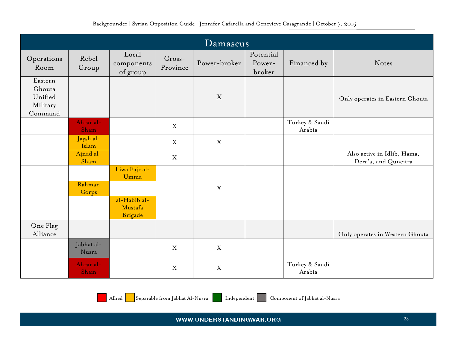<span id="page-27-0"></span>

|                                                     |                     |                                           |                    | Damascus     |                               |                          |                                                     |
|-----------------------------------------------------|---------------------|-------------------------------------------|--------------------|--------------|-------------------------------|--------------------------|-----------------------------------------------------|
| Operations<br>Room                                  | Rebel<br>Group      | Local<br>components<br>of group           | Cross-<br>Province | Power-broker | Potential<br>Power-<br>broker | Financed by              | Notes                                               |
| Eastern<br>Ghouta<br>Unified<br>Military<br>Command |                     |                                           |                    | X            |                               |                          | Only operates in Eastern Ghouta                     |
|                                                     | Ahrar al-<br>Sham   |                                           | X                  |              |                               | Turkey & Saudi<br>Arabia |                                                     |
|                                                     | Jaysh al-<br>Islam  |                                           | X                  | X            |                               |                          |                                                     |
|                                                     | Ajnad al-<br>Sham   |                                           | X                  |              |                               |                          | Also active in Idlib, Hama,<br>Dera'a, and Quneitra |
|                                                     |                     | Liwa Fajr al-<br>Umma                     |                    |              |                               |                          |                                                     |
|                                                     | Rahman<br>Corps     |                                           |                    | X            |                               |                          |                                                     |
|                                                     |                     | al-Habib al-<br>Mustafa<br><b>Brigade</b> |                    |              |                               |                          |                                                     |
| One Flag<br>Alliance                                |                     |                                           |                    |              |                               |                          | Only operates in Western Ghouta                     |
|                                                     | Jabhat al-<br>Nusra |                                           | X                  | X            |                               |                          |                                                     |
|                                                     | Ahrar al-<br>Sham   |                                           | $\mathbf X$        | X            |                               | Turkey & Saudi<br>Arabia |                                                     |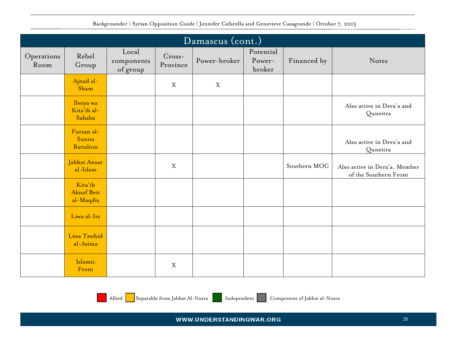|                    | Damascus (cont.)                          |                                 |                    |              |                               |              |                                                        |  |  |  |  |  |
|--------------------|-------------------------------------------|---------------------------------|--------------------|--------------|-------------------------------|--------------|--------------------------------------------------------|--|--|--|--|--|
| Operations<br>Room | Rebel<br>Group                            | Local<br>components<br>of group | Cross-<br>Province | Power-broker | Potential<br>Power-<br>broker | Financed by  | Notes                                                  |  |  |  |  |  |
|                    | Ajnad al-<br>Sham                         |                                 | X                  | $\mathbf X$  |                               |              |                                                        |  |  |  |  |  |
|                    | Ilwiya wa<br>Kita'ib al-<br>Sahaba        |                                 |                    |              |                               |              | Also active in Dera'a and<br>Quneitra                  |  |  |  |  |  |
|                    | Fursan al-<br>Sunna<br><b>Battalion</b>   |                                 |                    |              |                               |              | Also active in Dera'a and<br>Quneitra                  |  |  |  |  |  |
|                    | Jabhat Ansar<br>al-Islam                  |                                 | $\mathbf X$        |              |                               | Southern MOC | Also active in Dera'a. Member<br>of the Southern Front |  |  |  |  |  |
|                    | Kita'ib<br><b>Aknaf Beit</b><br>al-Maqdis |                                 |                    |              |                               |              |                                                        |  |  |  |  |  |
|                    | Liwa al-Izz                               |                                 |                    |              |                               |              |                                                        |  |  |  |  |  |
|                    | Liwa Tawhid<br>al-Asima                   |                                 |                    |              |                               |              |                                                        |  |  |  |  |  |
|                    | Islamic<br>Front                          |                                 | $\boldsymbol{X}$   |              |                               |              |                                                        |  |  |  |  |  |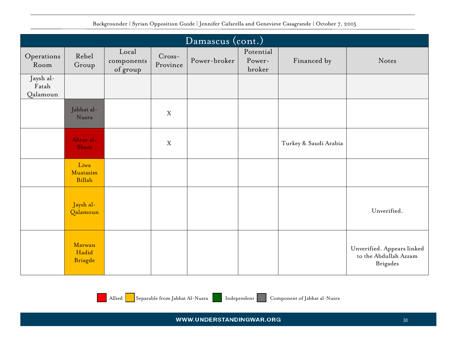|                                | Damascus (cont.)           |                                 |                      |              |                               |                       |                                                                        |  |  |  |  |  |
|--------------------------------|----------------------------|---------------------------------|----------------------|--------------|-------------------------------|-----------------------|------------------------------------------------------------------------|--|--|--|--|--|
| Operations<br>Room             | Rebel<br>Group             | Local<br>components<br>of group | $Cross-$<br>Province | Power-broker | Potential<br>Power-<br>broker | Financed by           | Notes                                                                  |  |  |  |  |  |
| Jaysh al-<br>Fatah<br>Qalamoun |                            |                                 |                      |              |                               |                       |                                                                        |  |  |  |  |  |
|                                | Jabhat al-<br>Nusra        |                                 | $\mathbf X$          |              |                               |                       |                                                                        |  |  |  |  |  |
|                                | Ahrar al-<br>Sham          |                                 | X                    |              |                               | Turkey & Saudi Arabia |                                                                        |  |  |  |  |  |
|                                | Liwa<br>Muatasim<br>Billah |                                 |                      |              |                               |                       |                                                                        |  |  |  |  |  |
|                                | Jaysh al-<br>Qalamoun      |                                 |                      |              |                               |                       | Unverified.                                                            |  |  |  |  |  |
|                                | Marwan<br>Hadid<br>Briagde |                                 |                      |              |                               |                       | Unverified. Appears linked<br>to the Abdullah Azzam<br><b>Brigades</b> |  |  |  |  |  |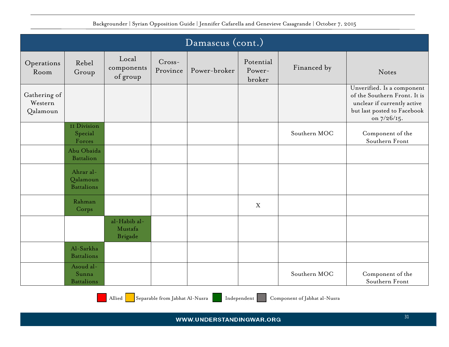|                                     | Damascus (cont.)                           |                                           |                    |              |                               |              |                                                                                                                                         |  |  |  |  |  |
|-------------------------------------|--------------------------------------------|-------------------------------------------|--------------------|--------------|-------------------------------|--------------|-----------------------------------------------------------------------------------------------------------------------------------------|--|--|--|--|--|
| Operations<br>Room                  | Rebel<br>Group                             | Local<br>components<br>of group           | Cross-<br>Province | Power-broker | Potential<br>Power-<br>broker | Financed by  | Notes                                                                                                                                   |  |  |  |  |  |
| Gathering of<br>Western<br>Qalamoun |                                            |                                           |                    |              |                               |              | Unverified. Is a component<br>of the Southern Front. It is<br>unclear if currently active<br>but last posted to Facebook<br>on 7/26/15. |  |  |  |  |  |
|                                     | II Division<br>Special<br>Forces           |                                           |                    |              |                               | Southern MOC | Component of the<br>Southern Front                                                                                                      |  |  |  |  |  |
|                                     | Abu Obaida<br><b>Battalion</b>             |                                           |                    |              |                               |              |                                                                                                                                         |  |  |  |  |  |
|                                     | Ahrar al-<br>Qalamoun<br><b>Battalions</b> |                                           |                    |              |                               |              |                                                                                                                                         |  |  |  |  |  |
|                                     | Rahman<br>Corps                            |                                           |                    |              | $\mathbf X$                   |              |                                                                                                                                         |  |  |  |  |  |
|                                     |                                            | al-Habib al-<br>Mustafa<br><b>Brigade</b> |                    |              |                               |              |                                                                                                                                         |  |  |  |  |  |
|                                     | Al-Sarkha<br><b>Battalions</b>             |                                           |                    |              |                               |              |                                                                                                                                         |  |  |  |  |  |
|                                     | Asoud al-<br>Sunna<br><b>Battalions</b>    |                                           |                    |              |                               | Southern MOC | Component of the<br>Southern Front                                                                                                      |  |  |  |  |  |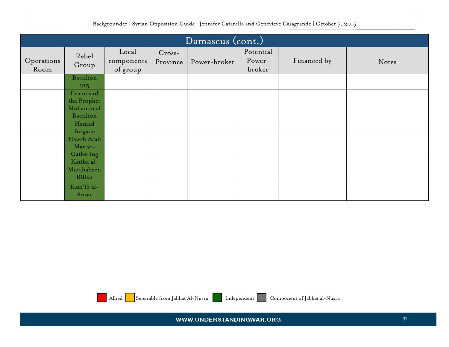|                    | Damascus (cont.)                   |                                 |                      |              |                               |             |       |  |  |  |  |  |
|--------------------|------------------------------------|---------------------------------|----------------------|--------------|-------------------------------|-------------|-------|--|--|--|--|--|
| Operations<br>Room | Rebel<br>Group                     | Local<br>components<br>of group | $Cross-$<br>Province | Power-broker | Potential<br>Power-<br>broker | Financed by | Notes |  |  |  |  |  |
|                    | Battalion<br>215                   |                                 |                      |              |                               |             |       |  |  |  |  |  |
|                    | Friends of<br>the Prophet          |                                 |                      |              |                               |             |       |  |  |  |  |  |
|                    | Mohammad<br><b>Battalion</b>       |                                 |                      |              |                               |             |       |  |  |  |  |  |
|                    | Hamad<br>Brigade                   |                                 |                      |              |                               |             |       |  |  |  |  |  |
|                    | Hawsh Arab<br>Martyrs<br>Gathering |                                 |                      |              |                               |             |       |  |  |  |  |  |
|                    | Katiba al-<br>Mutahabeen<br>Billah |                                 |                      |              |                               |             |       |  |  |  |  |  |
|                    | Kata'ib al-<br>Ansar               |                                 |                      |              |                               |             |       |  |  |  |  |  |



Allied Separable from Jabhat Al-Nusra Independent Component of Jabhat al-Nusra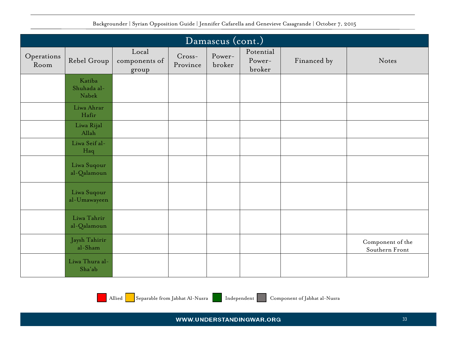|                    | Damascus (cont.)               |                                 |                      |                  |                               |             |                                    |  |  |  |
|--------------------|--------------------------------|---------------------------------|----------------------|------------------|-------------------------------|-------------|------------------------------------|--|--|--|
| Operations<br>Room | Rebel Group                    | Local<br>components of<br>group | $Cross-$<br>Province | Power-<br>broker | Potential<br>Power-<br>broker | Financed by | Notes                              |  |  |  |
|                    | Katiba<br>Shuhada al-<br>Nabek |                                 |                      |                  |                               |             |                                    |  |  |  |
|                    | Liwa Ahrar<br>Hafir            |                                 |                      |                  |                               |             |                                    |  |  |  |
|                    | Liwa Rijal<br>Allah            |                                 |                      |                  |                               |             |                                    |  |  |  |
|                    | Liwa Seif al-<br>Haq           |                                 |                      |                  |                               |             |                                    |  |  |  |
|                    | Liwa Suqour<br>al-Qalamoun     |                                 |                      |                  |                               |             |                                    |  |  |  |
|                    | Liwa Suqour<br>al-Umawayeen    |                                 |                      |                  |                               |             |                                    |  |  |  |
|                    | Liwa Tahrir<br>al-Qalamoun     |                                 |                      |                  |                               |             |                                    |  |  |  |
|                    | Jaysh Tahirir<br>al-Sham       |                                 |                      |                  |                               |             | Component of the<br>Southern Front |  |  |  |
|                    | Liwa Thura al-<br>Sha'ab       |                                 |                      |                  |                               |             |                                    |  |  |  |

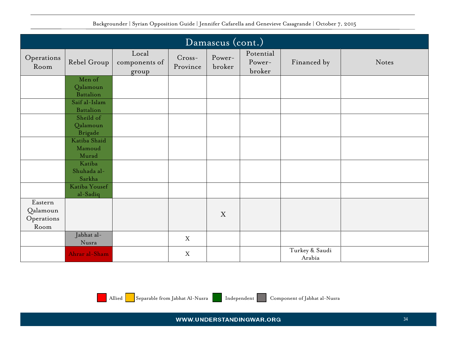|                        |                                   |                                 |                      | Damascus (cont.) |                               |                          |       |
|------------------------|-----------------------------------|---------------------------------|----------------------|------------------|-------------------------------|--------------------------|-------|
| Operations<br>Room     | Rebel Group                       | Local<br>components of<br>group | $Cross-$<br>Province | Power-<br>broker | Potential<br>Power-<br>broker | Financed by              | Notes |
|                        | Men of                            |                                 |                      |                  |                               |                          |       |
|                        | Qalamoun<br><b>Battalion</b>      |                                 |                      |                  |                               |                          |       |
|                        | Saif al-Islam<br><b>Battalion</b> |                                 |                      |                  |                               |                          |       |
|                        | Sheild of                         |                                 |                      |                  |                               |                          |       |
|                        | Qalamoun<br><b>Brigade</b>        |                                 |                      |                  |                               |                          |       |
|                        | Katiba Shaid<br>Mamoud<br>Murad   |                                 |                      |                  |                               |                          |       |
|                        | Katiba<br>Shuhada al-             |                                 |                      |                  |                               |                          |       |
|                        | Sarkha                            |                                 |                      |                  |                               |                          |       |
|                        | Katiba Yousef<br>al-Sadiq         |                                 |                      |                  |                               |                          |       |
| Eastern                |                                   |                                 |                      |                  |                               |                          |       |
| Qalamoun<br>Operations |                                   |                                 |                      | X                |                               |                          |       |
| Room                   |                                   |                                 |                      |                  |                               |                          |       |
|                        | Jabhat al-<br>Nusra               |                                 | $\boldsymbol{X}$     |                  |                               |                          |       |
|                        | Ahrar al-Sham                     |                                 | X                    |                  |                               | Turkey & Saudi<br>Arabia |       |

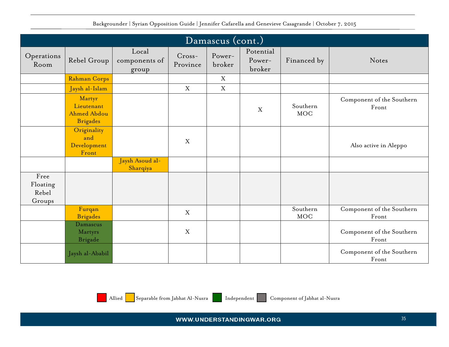<span id="page-34-0"></span>

|                                     | Damascus (cont.)                                              |                                 |                      |                  |                               |                        |                                    |  |  |  |
|-------------------------------------|---------------------------------------------------------------|---------------------------------|----------------------|------------------|-------------------------------|------------------------|------------------------------------|--|--|--|
| Operations<br>Room                  | Rebel Group                                                   | Local<br>components of<br>group | $Cross-$<br>Province | Power-<br>broker | Potential<br>Power-<br>broker | Financed by            | Notes                              |  |  |  |
|                                     | Rahman Corps                                                  |                                 |                      | X                |                               |                        |                                    |  |  |  |
|                                     | Jaysh al-Islam                                                |                                 | X                    | $\mathbf X$      |                               |                        |                                    |  |  |  |
|                                     | Martyr<br>Lieutenant<br><b>Ahmed Abdou</b><br><b>Brigades</b> |                                 |                      |                  | X                             | Southern<br><b>MOC</b> | Component of the Southern<br>Front |  |  |  |
|                                     | Originality<br>and<br>Development<br>Front                    |                                 | X                    |                  |                               |                        | Also active in Aleppo              |  |  |  |
|                                     |                                                               | Jaysh Asoud al-<br>Sharqiya     |                      |                  |                               |                        |                                    |  |  |  |
| Free<br>Floating<br>Rebel<br>Groups |                                                               |                                 |                      |                  |                               |                        |                                    |  |  |  |
|                                     | Furqan<br><b>Brigades</b>                                     |                                 | X                    |                  |                               | Southern<br>$\rm MOC$  | Component of the Southern<br>Front |  |  |  |
|                                     | Damascus<br>Martyrs<br><b>Brigade</b>                         |                                 | X                    |                  |                               |                        | Component of the Southern<br>Front |  |  |  |
|                                     | Jaysh al-Ababil                                               |                                 |                      |                  |                               |                        | Component of the Southern<br>Front |  |  |  |

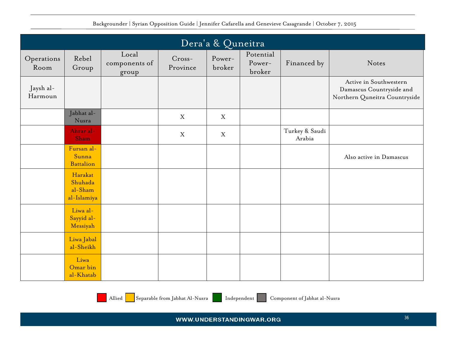<span id="page-35-0"></span>

|                      | Dera'a & Quneitra                            |                                 |                      |                  |                               |                          |                                                                                     |  |  |  |
|----------------------|----------------------------------------------|---------------------------------|----------------------|------------------|-------------------------------|--------------------------|-------------------------------------------------------------------------------------|--|--|--|
| Operations<br>Room   | Rebel<br>Group                               | Local<br>components of<br>group | $Cross-$<br>Province | Power-<br>broker | Potential<br>Power-<br>broker | Financed by              | Notes                                                                               |  |  |  |
| Jaysh al-<br>Harmoun |                                              |                                 |                      |                  |                               |                          | Active in Southwestern<br>Damascus Countryside and<br>Northern Quneitra Countryside |  |  |  |
|                      | Jabhat al-<br>Nusra                          |                                 | $\boldsymbol{X}$     | X                |                               |                          |                                                                                     |  |  |  |
|                      | Ahrar al-<br>Sham                            |                                 | $\mathbf X$          | $\mathbf X$      |                               | Turkey & Saudi<br>Arabia |                                                                                     |  |  |  |
|                      | Fursan al-<br>Sunna<br><b>Battalion</b>      |                                 |                      |                  |                               |                          | Also active in Damascus                                                             |  |  |  |
|                      | Harakat<br>Shuhada<br>al-Sham<br>al-Islamiya |                                 |                      |                  |                               |                          |                                                                                     |  |  |  |
|                      | Liwa al-<br>Sayyid al-<br>Messiyah           |                                 |                      |                  |                               |                          |                                                                                     |  |  |  |
|                      | Liwa Jabal<br>al-Sheikh                      |                                 |                      |                  |                               |                          |                                                                                     |  |  |  |
|                      | Liwa<br>Omar bin<br>al-Khatab                |                                 |                      |                  |                               |                          |                                                                                     |  |  |  |

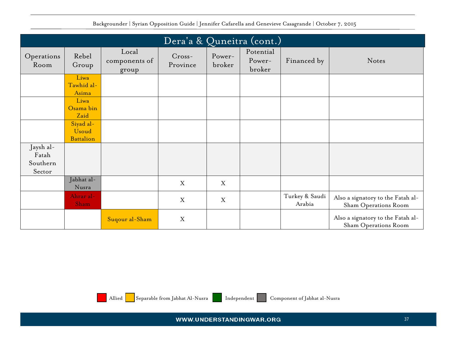|                                          | Dera'a & Quneitra (cont.)              |                                 |                      |                           |                               |                          |                                                           |  |  |  |
|------------------------------------------|----------------------------------------|---------------------------------|----------------------|---------------------------|-------------------------------|--------------------------|-----------------------------------------------------------|--|--|--|
| Operations<br>Room                       | Rebel<br>Group                         | Local<br>components of<br>group | $Cross-$<br>Province | Power-<br>broker          | Potential<br>Power-<br>broker | Financed by              | <b>Notes</b>                                              |  |  |  |
|                                          | Liwa<br>Tawhid al-<br>Asima            |                                 |                      |                           |                               |                          |                                                           |  |  |  |
|                                          | Liwa<br>Osama bin<br>Zaid              |                                 |                      |                           |                               |                          |                                                           |  |  |  |
|                                          | Siyad al-<br>Usoud<br><b>Battalion</b> |                                 |                      |                           |                               |                          |                                                           |  |  |  |
| Jaysh al-<br>Fatah<br>Southern<br>Sector |                                        |                                 |                      |                           |                               |                          |                                                           |  |  |  |
|                                          | Jabhat al-<br>Nusra                    |                                 | X                    | $\boldsymbol{\mathrm{X}}$ |                               |                          |                                                           |  |  |  |
|                                          | Ahrar al-<br>Sham                      |                                 | X                    | X                         |                               | Turkey & Saudi<br>Arabia | Also a signatory to the Fatah al-<br>Sham Operations Room |  |  |  |
|                                          |                                        | Suqour al-Sham                  | $\mathbf X$          |                           |                               |                          | Also a signatory to the Fatah al-<br>Sham Operations Room |  |  |  |



Allied Separable from Jabhat Al-Nusra Independent Component of Jabhat al-Nusra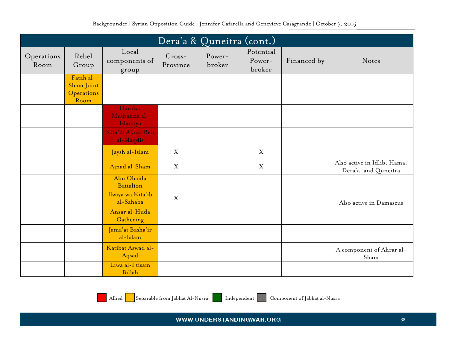|                    |                                               |                                     |                      | Dera'a & Quneitra (cont.) |                               |             |                                                     |
|--------------------|-----------------------------------------------|-------------------------------------|----------------------|---------------------------|-------------------------------|-------------|-----------------------------------------------------|
| Operations<br>Room | Rebel<br>Group                                | Local<br>components of<br>group     | $Cross-$<br>Province | Power-<br>broker          | Potential<br>Power-<br>broker | Financed by | Notes                                               |
|                    | Fatah al-<br>Sham Joint<br>Operations<br>Room |                                     |                      |                           |                               |             |                                                     |
|                    |                                               | Harakat<br>Muthanna al-<br>Islamiya |                      |                           |                               |             |                                                     |
|                    |                                               | Kita'ib Aknaf Beit<br>al-Maqdis     |                      |                           |                               |             |                                                     |
|                    |                                               | Jaysh al-Islam                      | X                    |                           | X                             |             |                                                     |
|                    |                                               | Ajnad al-Sham                       | X                    |                           | X                             |             | Also active in Idlib, Hama,<br>Dera'a, and Quneitra |
|                    |                                               | Abu Obaida<br><b>Battalion</b>      |                      |                           |                               |             |                                                     |
|                    |                                               | Ilwiya wa Kita'ib<br>al-Sahaba      | $\mathbf X$          |                           |                               |             | Also active in Damascus                             |
|                    |                                               | Ansar al-Huda<br>Gathering          |                      |                           |                               |             |                                                     |
|                    |                                               | Jama'at Basha'ir<br>al-Islam        |                      |                           |                               |             |                                                     |
|                    |                                               | Katibat Aswad al-<br>Aqsad          |                      |                           |                               |             | A component of Ahrar al-<br>Sham                    |
|                    |                                               | Liwa al-I'tisam<br>Billah           |                      |                           |                               |             |                                                     |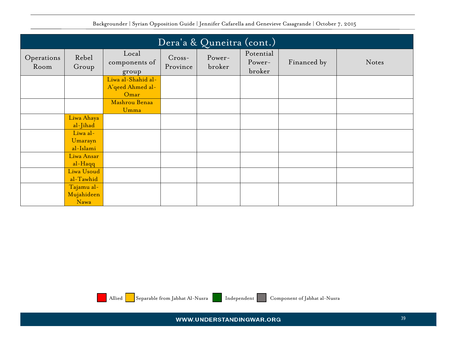|                    |                                  |                                                |                      | Dera'a & Quneitra (cont.) |                               |             |       |
|--------------------|----------------------------------|------------------------------------------------|----------------------|---------------------------|-------------------------------|-------------|-------|
| Operations<br>Room | Rebel<br>Group                   | Local<br>components of<br>group                | $Cross-$<br>Province | Power-<br>broker          | Potential<br>Power-<br>broker | Financed by | Notes |
|                    |                                  | Liwa al-Shahid al-<br>A'qeed Ahmed al-<br>Omar |                      |                           |                               |             |       |
|                    |                                  | Mashrou Benaa<br>Umma                          |                      |                           |                               |             |       |
|                    | Liwa Ahaya<br>al-Jihad           |                                                |                      |                           |                               |             |       |
|                    | Liwa al-<br>Umarayn<br>al-Islami |                                                |                      |                           |                               |             |       |
|                    | Liwa Ansar<br>al-Haqq            |                                                |                      |                           |                               |             |       |
|                    | Liwa Usoud<br>al-Tawhid          |                                                |                      |                           |                               |             |       |
|                    | Tajamu al-<br>Mujahideen<br>Nawa |                                                |                      |                           |                               |             |       |



Allied Separable from Jabhat Al-Nusra Independent Component of Jabhat al-Nusra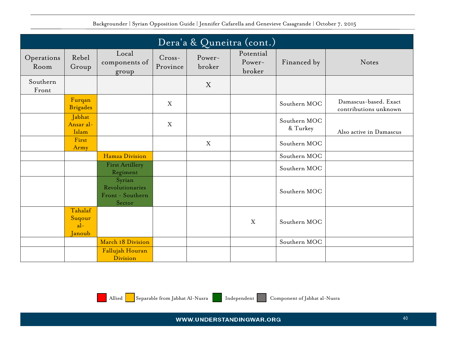|                    |                                      |                                                         |                      |                  | Dera'a & Quneitra (cont.)     |                          |                                                |
|--------------------|--------------------------------------|---------------------------------------------------------|----------------------|------------------|-------------------------------|--------------------------|------------------------------------------------|
| Operations<br>Room | Rebel<br>Group                       | Local<br>components of<br>group                         | $Cross-$<br>Province | Power-<br>broker | Potential<br>Power-<br>broker | Financed by              | Notes                                          |
| Southern<br>Front  |                                      |                                                         |                      | X                |                               |                          |                                                |
|                    | Furqan<br><b>Brigades</b>            |                                                         | X                    |                  |                               | Southern MOC             | Damascus-based. Exact<br>contributions unknown |
|                    | Jabhat<br>Ansar al-<br>Islam         |                                                         | X                    |                  |                               | Southern MOC<br>& Turkey | Also active in Damascus                        |
|                    | First<br>Army                        |                                                         |                      | X                |                               | Southern MOC             |                                                |
|                    |                                      | Hamza Division                                          |                      |                  |                               | Southern MOC             |                                                |
|                    |                                      | <b>First Artillery</b><br>Regiment                      |                      |                  |                               | Southern MOC             |                                                |
|                    |                                      | Syrian<br>Revolutionaries<br>Front - Southern<br>Sector |                      |                  |                               | Southern MOC             |                                                |
|                    | Tahalaf<br>Suqour<br>$al-$<br>Janoub |                                                         |                      |                  | $\mathbf X$                   | Southern MOC             |                                                |
|                    |                                      | March 18 Division                                       |                      |                  |                               | Southern MOC             |                                                |
|                    |                                      | Fallujah Houran<br>Division                             |                      |                  |                               |                          |                                                |

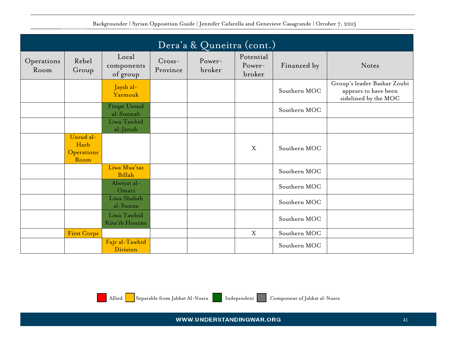|                    |                                         |                                  |                      | Dera'a & Quneitra (cont.) |                               |              |                                                                             |
|--------------------|-----------------------------------------|----------------------------------|----------------------|---------------------------|-------------------------------|--------------|-----------------------------------------------------------------------------|
| Operations<br>Room | Rebel<br>Group                          | Local<br>components<br>of group  | $Cross-$<br>Province | Power-<br>broker          | Potential<br>Power-<br>broker | Financed by  | Notes                                                                       |
|                    |                                         | Jaysh al-<br>Yarmouk             |                      |                           |                               | Southern MOC | Group's leader Bashar Zoubi<br>appears to have been<br>sidelined by the MOC |
|                    |                                         | <b>Firqat Usoud</b><br>al-Sunnah |                      |                           |                               | Southern MOC |                                                                             |
|                    |                                         | Liwa Tawhid<br>al-Janub          |                      |                           |                               |              |                                                                             |
|                    | Usoud al-<br>Harb<br>Operations<br>Room |                                  |                      |                           | X                             | Southern MOC |                                                                             |
|                    |                                         | Liwa Mua'taz<br>Billah           |                      |                           |                               | Southern MOC |                                                                             |
|                    |                                         | Alwiyat al-<br>Omari             |                      |                           |                               | Southern MOC |                                                                             |
|                    |                                         | Liwa Shabab<br>al-Sunna          |                      |                           |                               | Southern MOC |                                                                             |
|                    |                                         | Liwa Tawhid<br>Kita'ib Houran    |                      |                           |                               | Southern MOC |                                                                             |
|                    | First Corps                             |                                  |                      |                           | X                             | Southern MOC |                                                                             |
|                    |                                         | Fajr al-Tawhid<br>Division       |                      |                           |                               | Southern MOC |                                                                             |

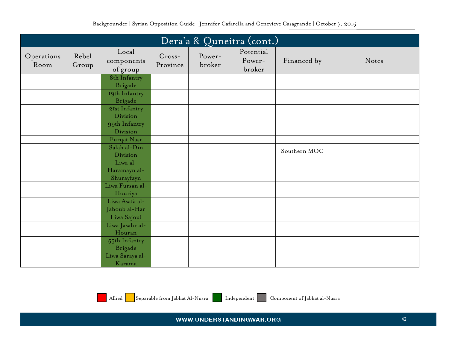| Dera'a & Quneitra (cont.) |                |                                 |                      |                  |                               |              |       |  |
|---------------------------|----------------|---------------------------------|----------------------|------------------|-------------------------------|--------------|-------|--|
| Operations<br>Room        | Rebel<br>Group | Local<br>components<br>of group | $Cross-$<br>Province | Power-<br>broker | Potential<br>Power-<br>broker | Financed by  | Notes |  |
|                           |                | 8th Infantry                    |                      |                  |                               |              |       |  |
|                           |                | <b>Brigade</b>                  |                      |                  |                               |              |       |  |
|                           |                | 19th Infantry<br><b>Brigade</b> |                      |                  |                               |              |       |  |
|                           |                | 21st Infantry                   |                      |                  |                               |              |       |  |
|                           |                | Division                        |                      |                  |                               |              |       |  |
|                           |                | 99th Infantry<br>Division       |                      |                  |                               |              |       |  |
|                           |                | Furqat Nasr                     |                      |                  |                               |              |       |  |
|                           |                | Salah al-Din                    |                      |                  |                               |              |       |  |
|                           |                | Division                        |                      |                  |                               | Southern MOC |       |  |
|                           |                | Liwa al-                        |                      |                  |                               |              |       |  |
|                           |                | Haramayn al-                    |                      |                  |                               |              |       |  |
|                           |                | Shurayfayn<br>Liwa Fursan al-   |                      |                  |                               |              |       |  |
|                           |                | Houriya                         |                      |                  |                               |              |       |  |
|                           |                | Liwa Asafa al-                  |                      |                  |                               |              |       |  |
|                           |                | Jaboub al-Har                   |                      |                  |                               |              |       |  |
|                           |                | Liwa Sajoul                     |                      |                  |                               |              |       |  |
|                           |                | Liwa Jasahr al-<br>Houran       |                      |                  |                               |              |       |  |
|                           |                | 55th Infantry                   |                      |                  |                               |              |       |  |
|                           |                | <b>Brigade</b>                  |                      |                  |                               |              |       |  |
|                           |                | Liwa Saraya al-<br>Karama       |                      |                  |                               |              |       |  |

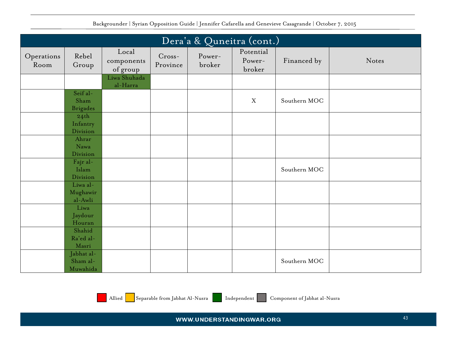| Dera'a & Quneitra (cont.) |                                          |                                 |                      |                  |                               |              |       |  |
|---------------------------|------------------------------------------|---------------------------------|----------------------|------------------|-------------------------------|--------------|-------|--|
| Operations<br>Room        | Rebel<br>Group                           | Local<br>components<br>of group | $Cross-$<br>Province | Power-<br>broker | Potential<br>Power-<br>broker | Financed by  | Notes |  |
|                           |                                          | Liwa Shuhada<br>al-Harra        |                      |                  |                               |              |       |  |
|                           | Seif al-<br>Sham<br><b>Brigades</b>      |                                 |                      |                  | X                             | Southern MOC |       |  |
|                           | 24 <sup>th</sup><br>Infantry<br>Division |                                 |                      |                  |                               |              |       |  |
|                           | Ahrar<br>Nawa<br>Division                |                                 |                      |                  |                               |              |       |  |
|                           | Fajr al-<br>Islam<br>Division            |                                 |                      |                  |                               | Southern MOC |       |  |
|                           | Liwa al-<br>Mughawir<br>al-Awli          |                                 |                      |                  |                               |              |       |  |
|                           | Liwa<br>Jaydour<br>Houran                |                                 |                      |                  |                               |              |       |  |
|                           | Shahid<br>Ra'ed al-<br>Masri             |                                 |                      |                  |                               |              |       |  |
|                           | Jabhat al-<br>Sham al-<br>Muwahida       |                                 |                      |                  |                               | Southern MOC |       |  |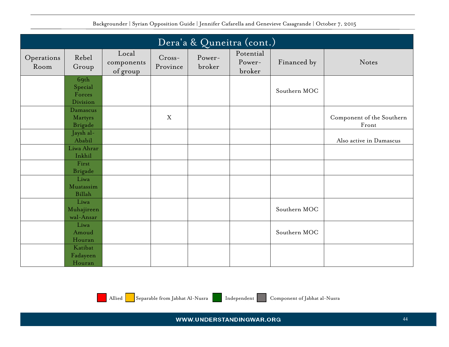|                    |                                       |                                 |                      | Dera'a & Quneitra (cont.) |                               |              |                                    |
|--------------------|---------------------------------------|---------------------------------|----------------------|---------------------------|-------------------------------|--------------|------------------------------------|
| Operations<br>Room | Rebel<br>Group                        | Local<br>components<br>of group | $Cross-$<br>Province | Power-<br>broker          | Potential<br>Power-<br>broker | Financed by  | Notes                              |
|                    | 69th<br>Special<br>Forces<br>Division |                                 |                      |                           |                               | Southern MOC |                                    |
|                    | Damascus<br>Martyrs<br><b>Brigade</b> |                                 | X                    |                           |                               |              | Component of the Southern<br>Front |
|                    | Jaysh al-<br>Ababil                   |                                 |                      |                           |                               |              | Also active in Damascus            |
|                    | Liwa Ahrar<br>Inkhil                  |                                 |                      |                           |                               |              |                                    |
|                    | First<br><b>Brigade</b>               |                                 |                      |                           |                               |              |                                    |
|                    | Liwa<br>Muatassim<br><b>Billah</b>    |                                 |                      |                           |                               |              |                                    |
|                    | Liwa<br>Muhajireen<br>wal-Ansar       |                                 |                      |                           |                               | Southern MOC |                                    |
|                    | Liwa<br>Amoud<br>Houran               |                                 |                      |                           |                               | Southern MOC |                                    |
|                    | Katibat<br>Fadayeen<br>Houran         |                                 |                      |                           |                               |              |                                    |